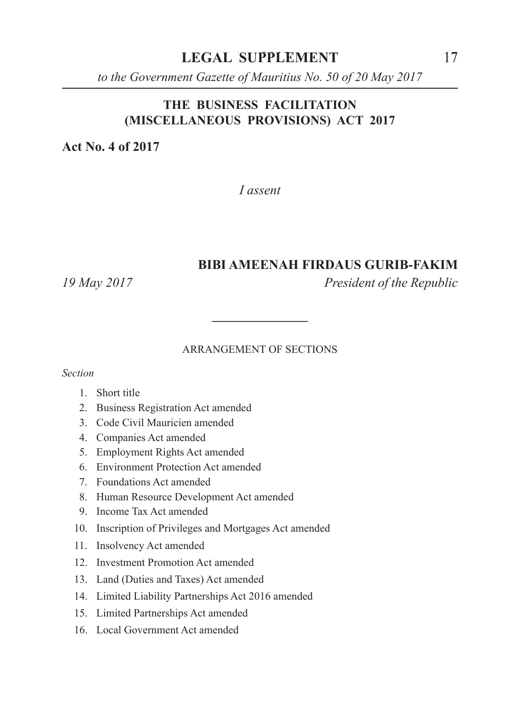**LEGAL SUPPLEMENT** 17

*to the Government Gazette of Mauritius No. 50 of 20 May 2017*

#### **THE BUSINESS FACILITATION (MISCELLANEOUS PROVISIONS) ACT 2017**

**Act No. 4 of 2017**

*I assent*

#### **BIBI AMEENAH FIRDAUS GURIB-FAKIM**

*19 May 2017 President of the Republic*

#### ARRANGEMENT OF SECTIONS

**\_\_\_\_\_\_\_\_\_\_\_\_\_\_\_**

*Section*

- 1. Short title
- 2. Business Registration Act amended
- 3. Code Civil Mauricien amended
- 4. Companies Act amended
- 5. Employment Rights Act amended
- 6. Environment Protection Act amended
- 7. Foundations Act amended
- 8. Human Resource Development Act amended
- 9. Income Tax Act amended
- 10. Inscription of Privileges and Mortgages Act amended
- 11. Insolvency Act amended
- 12. Investment Promotion Act amended
- 13. Land (Duties and Taxes) Act amended
- 14. Limited Liability Partnerships Act 2016 amended
- 15. Limited Partnerships Act amended
- 16. Local Government Act amended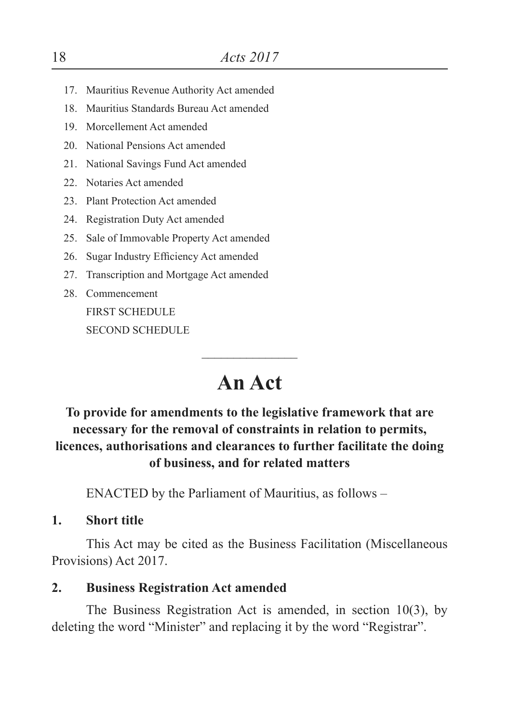- 17. Mauritius Revenue Authority Act amended
- 18. Mauritius Standards Bureau Act amended
- 19. Morcellement Act amended
- 20. National Pensions Act amended
- 21. National Savings Fund Act amended
- 22. Notaries Act amended
- 23. Plant Protection Act amended
- 24. Registration Duty Act amended
- 25. Sale of Immovable Property Act amended
- 26. Sugar Industry Efficiency Act amended
- 27. Transcription and Mortgage Act amended
- 28. Commencement FIRST SCHEDULE SECOND SCHEDULE

# **An Act**

 $\overline{\phantom{a}}$ 

### **To provide for amendments to the legislative framework that are necessary for the removal of constraints in relation to permits, licences, authorisations and clearances to further facilitate the doing of business, and for related matters**

ENACTED by the Parliament of Mauritius, as follows –

**1. Short title**

This Act may be cited as the Business Facilitation (Miscellaneous Provisions) Act 2017.

#### **2. Business Registration Act amended**

The Business Registration Act is amended, in section 10(3), by deleting the word "Minister" and replacing it by the word "Registrar".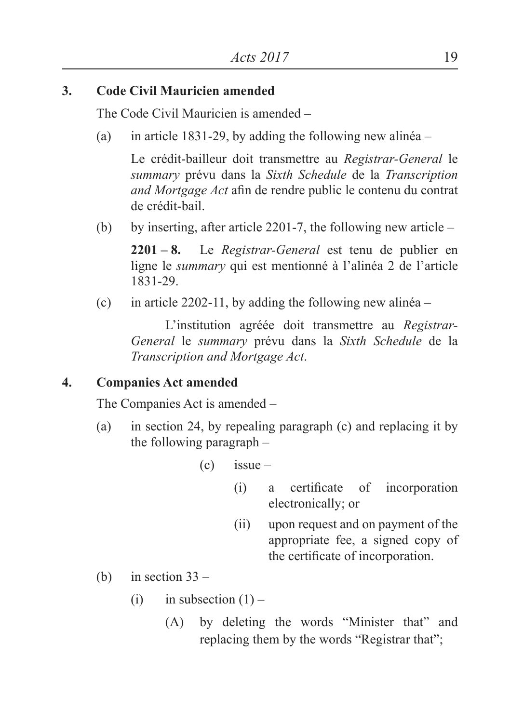### **3. Code Civil Mauricien amended**

The Code Civil Mauricien is amended –

(a) in article 1831-29, by adding the following new alinéa –

 Le crédit-bailleur doit transmettre au *Registrar-General* le *summary* prévu dans la *Sixth Schedule* de la *Transcription and Mortgage Act* afin de rendre public le contenu du contrat de crédit-bail.

(b) by inserting, after article 2201-7, the following new article –

**2201 – 8.** Le *Registrar-General* est tenu de publier en ligne le *summary* qui est mentionné à l'alinéa 2 de l'article 1831-29.

(c) in article 2202-11, by adding the following new alinea –

L'institution agréée doit transmettre au *Registrar-General* le *summary* prévu dans la *Sixth Schedule* de la *Transcription and Mortgage Act*.

### **4. Companies Act amended**

The Companies Act is amended –

- (a) in section 24, by repealing paragraph (c) and replacing it by the following paragraph –
	- $(c)$  issue
		- (i) a certificate of incorporation electronically; or
		- (ii) upon request and on payment of the appropriate fee, a signed copy of the certificate of incorporation.
- (b) in section  $33 -$ 
	- (i) in subsection  $(1)$ 
		- (A) by deleting the words "Minister that" and replacing them by the words "Registrar that";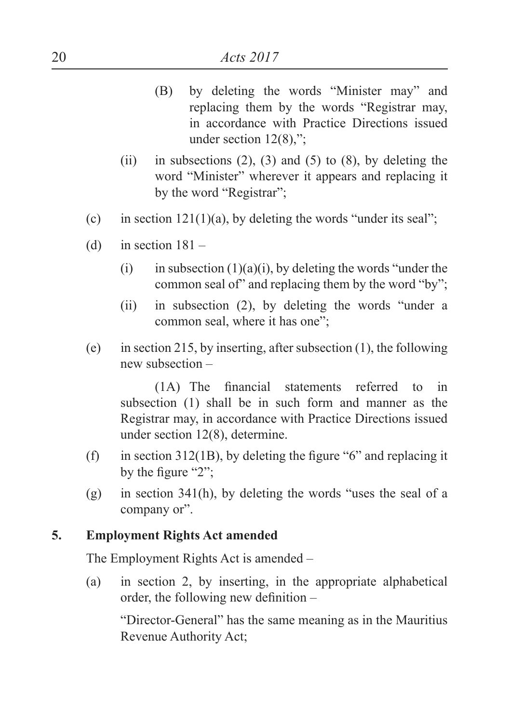- (B) by deleting the words "Minister may" and replacing them by the words "Registrar may, in accordance with Practice Directions issued under section  $12(8)$ ,";
- (ii) in subsections  $(2)$ ,  $(3)$  and  $(5)$  to  $(8)$ , by deleting the word "Minister" wherever it appears and replacing it by the word "Registrar";
- (c) in section  $121(1)(a)$ , by deleting the words "under its seal";
- (d) in section  $181 -$ 
	- (i) in subsection  $(1)(a)(i)$ , by deleting the words "under the common seal of" and replacing them by the word "by";
	- (ii) in subsection (2), by deleting the words "under a common seal, where it has one";
- (e) in section 215, by inserting, after subsection (1), the following new subsection –

 (1A) The financial statements referred to in subsection (1) shall be in such form and manner as the Registrar may, in accordance with Practice Directions issued under section 12(8), determine.

- (f) in section  $312(1B)$ , by deleting the figure "6" and replacing it by the figure "2";
- (g) in section 341(h), by deleting the words "uses the seal of a company or".

#### **5. Employment Rights Act amended**

The Employment Rights Act is amended –

(a) in section 2, by inserting, in the appropriate alphabetical order, the following new definition –

"Director-General" has the same meaning as in the Mauritius Revenue Authority Act;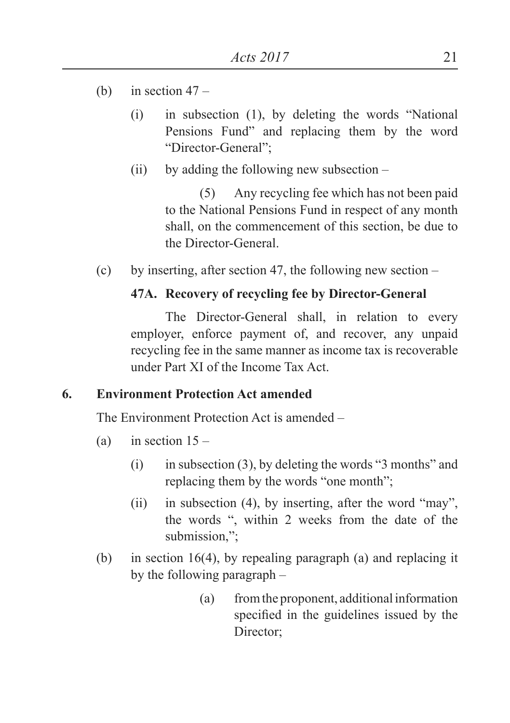- (b) in section  $47 -$ 
	- (i) in subsection (1), by deleting the words "National Pensions Fund" and replacing them by the word "Director-General";
	- $(ii)$  by adding the following new subsection –

(5) Any recycling fee which has not been paid to the National Pensions Fund in respect of any month shall, on the commencement of this section, be due to the Director-General.

(c) by inserting, after section 47, the following new section –

#### **47A. Recovery of recycling fee by Director-General**

The Director-General shall, in relation to every employer, enforce payment of, and recover, any unpaid recycling fee in the same manner as income tax is recoverable under Part XI of the Income Tax Act.

#### **6. Environment Protection Act amended**

The Environment Protection Act is amended –

- (a) in section  $15 -$ 
	- $(i)$  in subsection (3), by deleting the words "3 months" and replacing them by the words "one month";
	- (ii) in subsection (4), by inserting, after the word "may", the words ", within 2 weeks from the date of the submission.":
- (b) in section 16(4), by repealing paragraph (a) and replacing it by the following paragraph –
	- (a) from the proponent, additional information specified in the guidelines issued by the Director;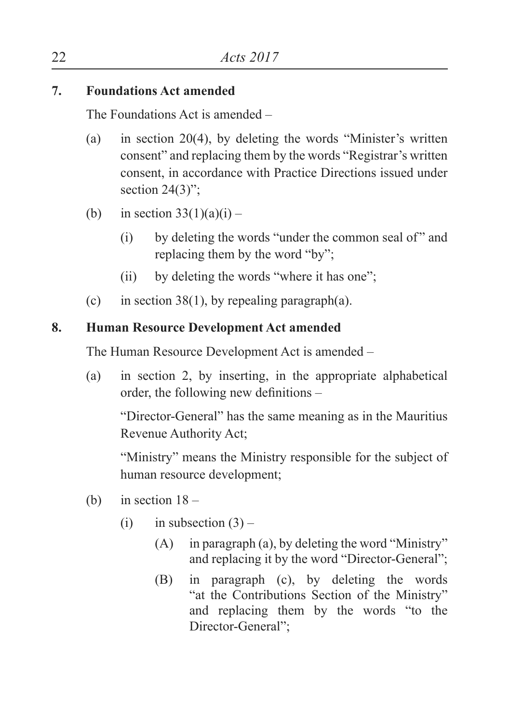### **7. Foundations Act amended**

The Foundations Act is amended –

- (a) in section 20(4), by deleting the words "Minister's written consent" and replacing them by the words "Registrar's written consent, in accordance with Practice Directions issued under section  $24(3)$ ";
- (b) in section  $33(1)(a)(i)$ 
	- $(i)$  by deleting the words "under the common seal of" and replacing them by the word "by";
	- (ii) by deleting the words "where it has one";
- (c) in section 38(1), by repealing paragraph(a).

### **8. Human Resource Development Act amended**

The Human Resource Development Act is amended –

(a) in section 2, by inserting, in the appropriate alphabetical order, the following new definitions –

"Director-General" has the same meaning as in the Mauritius Revenue Authority Act;

 "Ministry" means the Ministry responsible for the subject of human resource development;

- (b) in section  $18 -$ 
	- (i) in subsection  $(3)$ 
		- (A) in paragraph (a), by deleting the word "Ministry" and replacing it by the word "Director-General";
		- (B) in paragraph (c), by deleting the words "at the Contributions Section of the Ministry" and replacing them by the words "to the Director-General";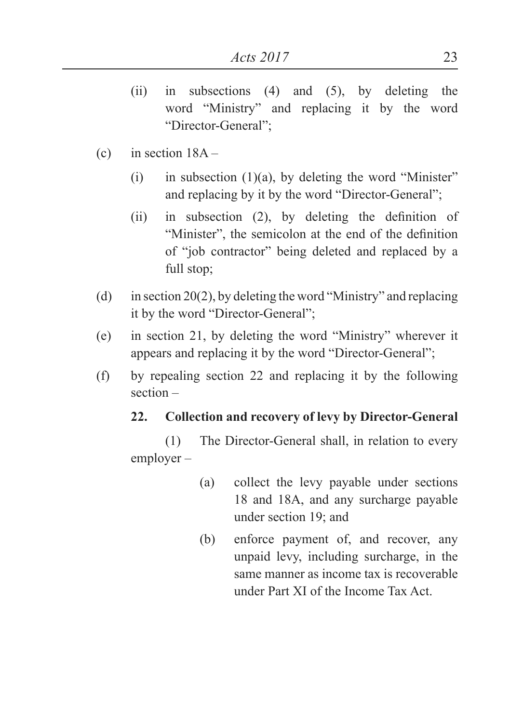- (ii) in subsections (4) and (5), by deleting the word "Ministry" and replacing it by the word "Director-General";
- (c) in section  $18A -$ 
	- (i) in subsection  $(1)(a)$ , by deleting the word "Minister" and replacing by it by the word "Director-General";
	- $(ii)$  in subsection  $(2)$ , by deleting the definition of "Minister", the semicolon at the end of the definition of "job contractor" being deleted and replaced by a full stop;
- (d) in section 20(2), by deleting the word "Ministry" and replacing it by the word "Director-General";
- (e) in section 21, by deleting the word "Ministry" wherever it appears and replacing it by the word "Director-General";
- (f) by repealing section 22 and replacing it by the following section –

### **22. Collection and recovery of levy by Director-General**

(1) The Director-General shall, in relation to every employer –

- (a) collect the levy payable under sections 18 and 18A, and any surcharge payable under section 19; and
- (b) enforce payment of, and recover, any unpaid levy, including surcharge, in the same manner as income tax is recoverable under Part XI of the Income Tax Act.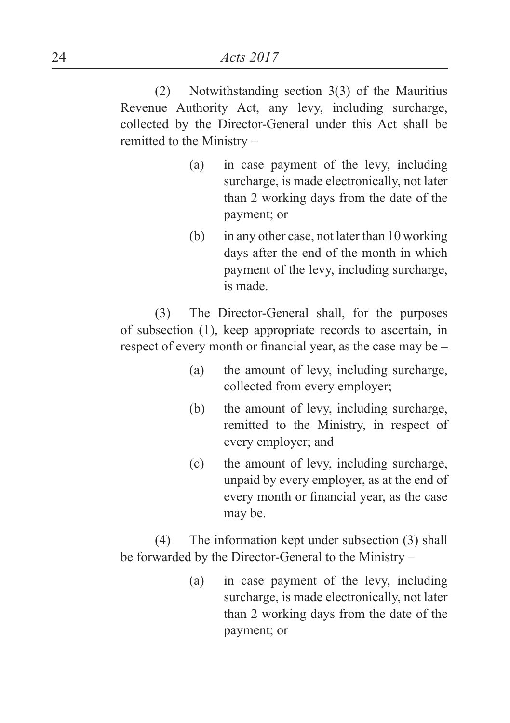(2) Notwithstanding section 3(3) of the Mauritius Revenue Authority Act, any levy, including surcharge, collected by the Director-General under this Act shall be remitted to the Ministry –

- (a) in case payment of the levy, including surcharge, is made electronically, not later than 2 working days from the date of the payment; or
- (b) in any other case, not later than 10 working days after the end of the month in which payment of the levy, including surcharge, is made.

(3) The Director-General shall, for the purposes of subsection (1), keep appropriate records to ascertain, in respect of every month or financial year, as the case may be –

- (a) the amount of levy, including surcharge, collected from every employer;
- (b) the amount of levy, including surcharge, remitted to the Ministry, in respect of every employer; and
- (c) the amount of levy, including surcharge, unpaid by every employer, as at the end of every month or financial year, as the case may be.

(4) The information kept under subsection (3) shall be forwarded by the Director-General to the Ministry –

> (a) in case payment of the levy, including surcharge, is made electronically, not later than 2 working days from the date of the payment; or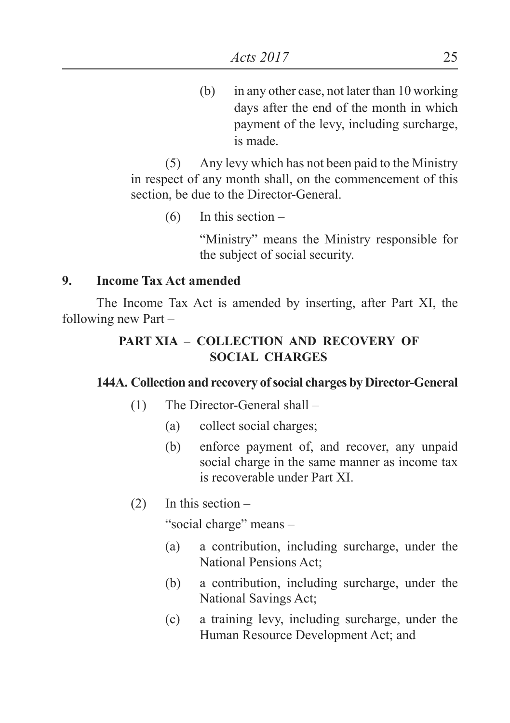(b) in any other case, not later than 10 working days after the end of the month in which payment of the levy, including surcharge, is made.

(5) Any levy which has not been paid to the Ministry in respect of any month shall, on the commencement of this section, be due to the Director-General.

(6) In this section –

"Ministry" means the Ministry responsible for the subject of social security.

#### **9. Income Tax Act amended**

The Income Tax Act is amended by inserting, after Part XI, the following new Part –

### **PART XIA – COLLECTION AND RECOVERY OF SOCIAL CHARGES**

#### **144A. Collection and recovery of social charges by Director-General**

- (1) The Director-General shall
	- (a) collect social charges;
	- (b) enforce payment of, and recover, any unpaid social charge in the same manner as income tax is recoverable under Part XI.
- $(2)$  In this section –

"social charge" means –

- (a) a contribution, including surcharge, under the National Pensions Act;
- (b) a contribution, including surcharge, under the National Savings Act;
- (c) a training levy, including surcharge, under the Human Resource Development Act; and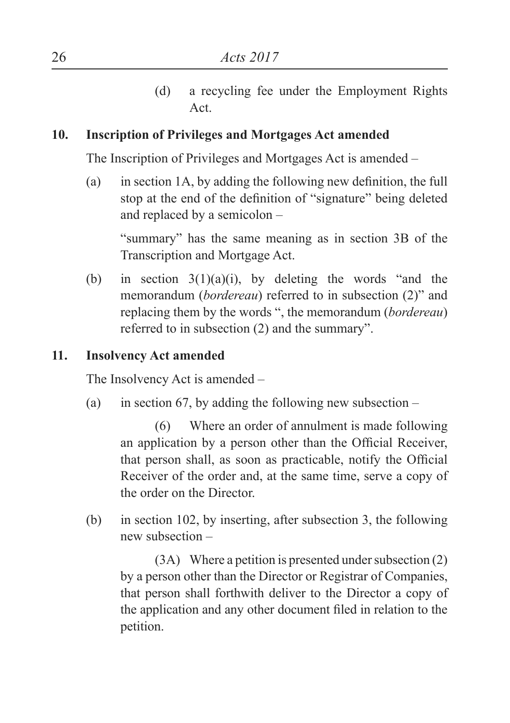(d) a recycling fee under the Employment Rights Act.

#### **10. Inscription of Privileges and Mortgages Act amended**

The Inscription of Privileges and Mortgages Act is amended –

(a) in section 1A, by adding the following new definition, the full stop at the end of the definition of "signature" being deleted and replaced by a semicolon –

"summary" has the same meaning as in section 3B of the Transcription and Mortgage Act.

(b) in section  $3(1)(a)(i)$ , by deleting the words "and the memorandum (*bordereau*) referred to in subsection (2)" and replacing them by the words ", the memorandum (*bordereau*) referred to in subsection (2) and the summary".

#### **11. Insolvency Act amended**

The Insolvency Act is amended –

(a) in section 67, by adding the following new subsection  $-$ 

(6) Where an order of annulment is made following an application by a person other than the Official Receiver, that person shall, as soon as practicable, notify the Official Receiver of the order and, at the same time, serve a copy of the order on the Director.

(b) in section 102, by inserting, after subsection 3, the following new subsection –

(3A) Where a petition is presented under subsection (2) by a person other than the Director or Registrar of Companies, that person shall forthwith deliver to the Director a copy of the application and any other document filed in relation to the petition.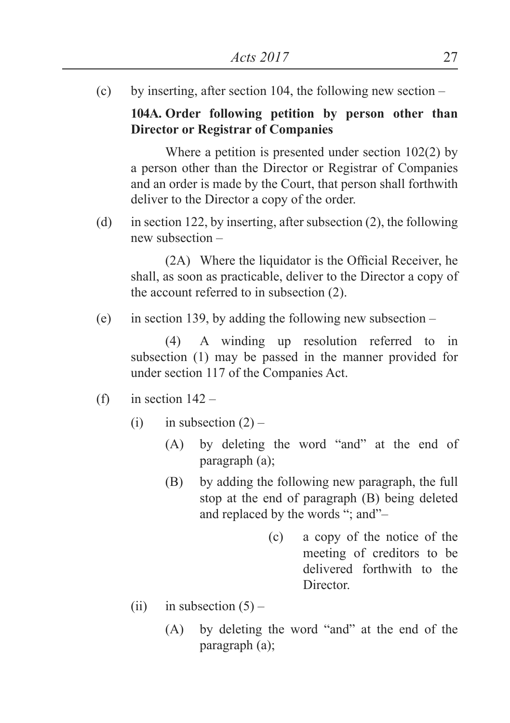(c) by inserting, after section 104, the following new section –

**104A. Order following petition by person other than Director or Registrar of Companies**

Where a petition is presented under section 102(2) by a person other than the Director or Registrar of Companies and an order is made by the Court, that person shall forthwith deliver to the Director a copy of the order.

(d) in section 122, by inserting, after subsection (2), the following new subsection –

(2A) Where the liquidator is the Official Receiver, he shall, as soon as practicable, deliver to the Director a copy of the account referred to in subsection (2).

(e) in section 139, by adding the following new subsection  $-$ 

(4) A winding up resolution referred to in subsection (1) may be passed in the manner provided for under section 117 of the Companies Act.

- (f) in section  $142 -$ 
	- (i) in subsection  $(2)$ 
		- (A) by deleting the word "and" at the end of paragraph (a);
		- (B) by adding the following new paragraph, the full stop at the end of paragraph (B) being deleted and replaced by the words "; and"–
			- (c) a copy of the notice of the meeting of creditors to be delivered forthwith to the Director.
	- (ii) in subsection  $(5)$ 
		- (A) by deleting the word "and" at the end of the paragraph (a);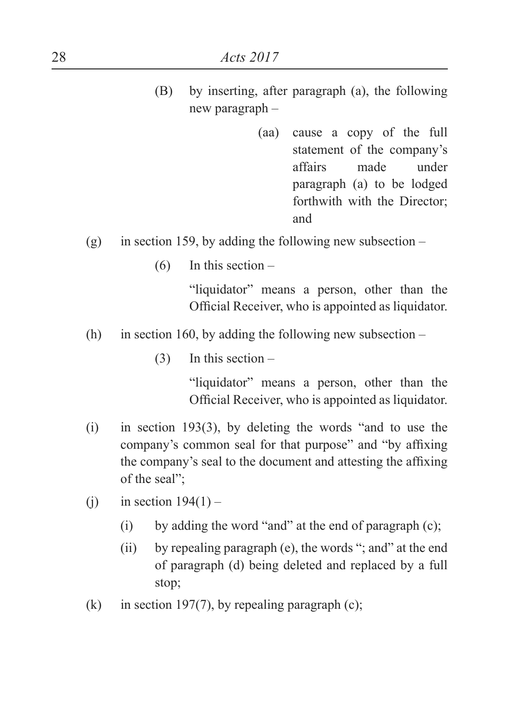- (B) by inserting, after paragraph (a), the following new paragraph –
	- (aa) cause a copy of the full statement of the company's affairs made under paragraph (a) to be lodged forthwith with the Director; and
- (g) in section 159, by adding the following new subsection
	- $(6)$  In this section –

"liquidator" means a person, other than the Official Receiver, who is appointed as liquidator.

- (h) in section 160, by adding the following new subsection  $-$ 
	- (3) In this section –

"liquidator" means a person, other than the Official Receiver, who is appointed as liquidator.

- (i) in section 193(3), by deleting the words "and to use the company's common seal for that purpose" and "by affixing the company's seal to the document and attesting the affixing of the seal";
- (i) in section  $194(1)$ 
	- (i) by adding the word "and" at the end of paragraph  $(c)$ ;
	- (ii) by repealing paragraph (e), the words "; and" at the end of paragraph (d) being deleted and replaced by a full stop;
- (k) in section 197(7), by repealing paragraph (c);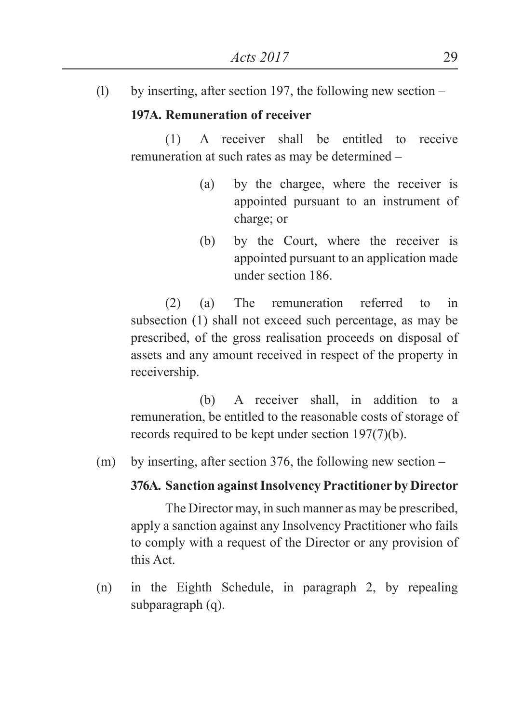(l) by inserting, after section 197, the following new section –

#### **197A. Remuneration of receiver**

(1) A receiver shall be entitled to receive remuneration at such rates as may be determined –

- (a) by the chargee, where the receiver is appointed pursuant to an instrument of charge; or
- (b) by the Court, where the receiver is appointed pursuant to an application made under section 186.

(2) (a) The remuneration referred to in subsection (1) shall not exceed such percentage, as may be prescribed, of the gross realisation proceeds on disposal of assets and any amount received in respect of the property in receivership.

 (b) A receiver shall, in addition to a remuneration, be entitled to the reasonable costs of storage of records required to be kept under section 197(7)(b).

(m) by inserting, after section 376, the following new section –

#### **376A. Sanction against Insolvency Practitioner by Director**

The Director may, in such manner as may be prescribed, apply a sanction against any Insolvency Practitioner who fails to comply with a request of the Director or any provision of this Act.

(n) in the Eighth Schedule, in paragraph 2, by repealing subparagraph (q).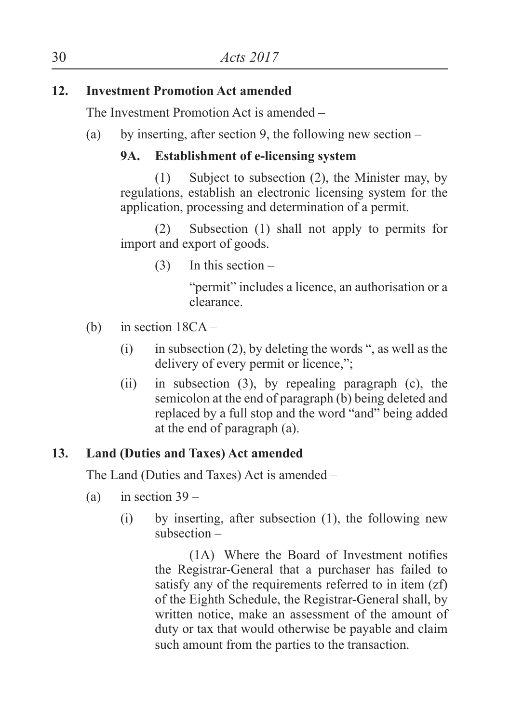### **12. Investment Promotion Act amended**

The Investment Promotion Act is amended –

(a) by inserting, after section 9, the following new section –

### **9A. Establishment of e-licensing system**

(1) Subject to subsection (2), the Minister may, by regulations, establish an electronic licensing system for the application, processing and determination of a permit.

(2) Subsection (1) shall not apply to permits for import and export of goods.

 $(3)$  In this section –

"permit" includes a licence, an authorisation or a clearance.

- (b) in section 18CA
	- (i) in subsection (2), by deleting the words ", as well as the delivery of every permit or licence,";
	- (ii) in subsection (3), by repealing paragraph (c), the semicolon at the end of paragraph (b) being deleted and replaced by a full stop and the word "and" being added at the end of paragraph (a).

### **13. Land (Duties and Taxes) Act amended**

The Land (Duties and Taxes) Act is amended –

- (a) in section  $39 -$ 
	- (i) by inserting, after subsection (1), the following new subsection –

(1A) Where the Board of Investment notifies the Registrar-General that a purchaser has failed to satisfy any of the requirements referred to in item (zf) of the Eighth Schedule, the Registrar-General shall, by written notice, make an assessment of the amount of duty or tax that would otherwise be payable and claim such amount from the parties to the transaction.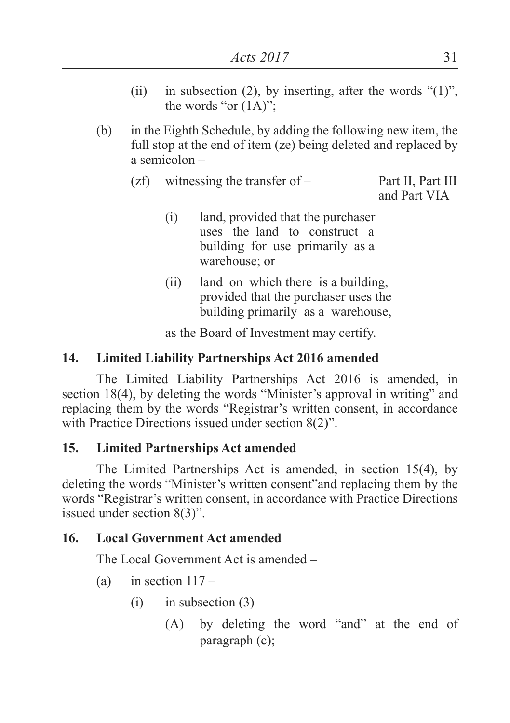- (ii) in subsection (2), by inserting, after the words " $(1)$ ", the words "or  $(1A)$ ";
- (b) in the Eighth Schedule, by adding the following new item, the full stop at the end of item (ze) being deleted and replaced by a semicolon –
	- (zf) witnessing the transfer of Part II, Part III and Part VIA
		- (i) land, provided that the purchaser uses the land to construct a building for use primarily as a warehouse; or
		- (ii) land on which there is a building, provided that the purchaser uses the building primarily as a warehouse,

as the Board of Investment may certify.

### **14. Limited Liability Partnerships Act 2016 amended**

The Limited Liability Partnerships Act 2016 is amended, in section 18(4), by deleting the words "Minister's approval in writing" and replacing them by the words "Registrar's written consent, in accordance with Practice Directions issued under section 8(2)".

### **15. Limited Partnerships Act amended**

The Limited Partnerships Act is amended, in section 15(4), by deleting the words "Minister's written consent"and replacing them by the words "Registrar's written consent, in accordance with Practice Directions issued under section 8(3)".

### **16. Local Government Act amended**

The Local Government Act is amended –

- (a) in section  $117 -$ 
	- (i) in subsection  $(3)$ 
		- (A) by deleting the word "and" at the end of paragraph (c);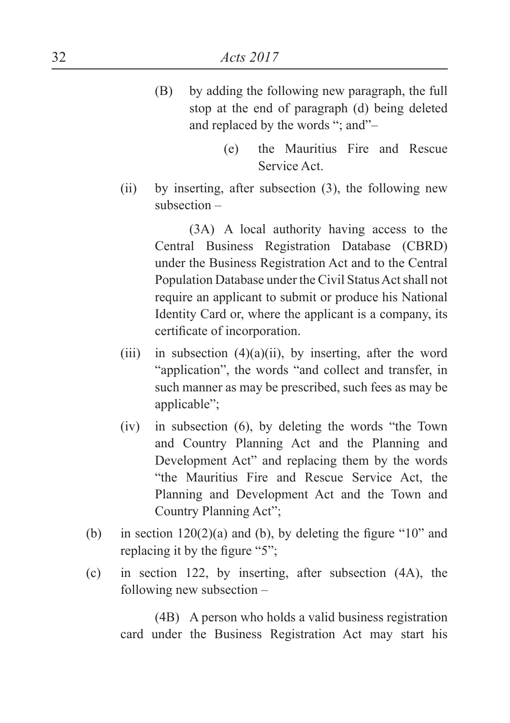- (B) by adding the following new paragraph, the full stop at the end of paragraph (d) being deleted and replaced by the words "; and"–
	- (e) the Mauritius Fire and Rescue Service Act.
- (ii) by inserting, after subsection (3), the following new subsection –

(3A) A local authority having access to the Central Business Registration Database (CBRD) under the Business Registration Act and to the Central Population Database under the Civil Status Act shall not require an applicant to submit or produce his National Identity Card or, where the applicant is a company, its certificate of incorporation.

- (iii) in subsection  $(4)(a)(ii)$ , by inserting, after the word "application", the words "and collect and transfer, in such manner as may be prescribed, such fees as may be applicable";
- (iv) in subsection (6), by deleting the words "the Town and Country Planning Act and the Planning and Development Act" and replacing them by the words "the Mauritius Fire and Rescue Service Act, the Planning and Development Act and the Town and Country Planning Act";
- (b) in section  $120(2)(a)$  and (b), by deleting the figure "10" and replacing it by the figure "5";
- (c) in section 122, by inserting, after subsection (4A), the following new subsection –

(4B) A person who holds a valid business registration card under the Business Registration Act may start his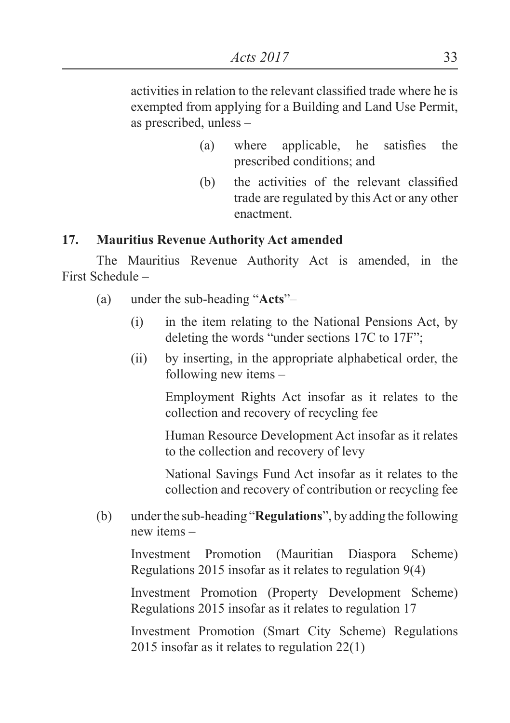activities in relation to the relevant classified trade where he is exempted from applying for a Building and Land Use Permit, as prescribed, unless –

- (a) where applicable, he satisfies the prescribed conditions; and
- (b) the activities of the relevant classified trade are regulated by this Act or any other enactment.

#### **17. Mauritius Revenue Authority Act amended**

The Mauritius Revenue Authority Act is amended, in the First Schedule –

- (a) under the sub-heading "**Acts**"–
	- (i) in the item relating to the National Pensions Act, by deleting the words "under sections 17C to 17F";
	- (ii) by inserting, in the appropriate alphabetical order, the following new items –

Employment Rights Act insofar as it relates to the collection and recovery of recycling fee

Human Resource Development Act insofar as it relates to the collection and recovery of levy

National Savings Fund Act insofar as it relates to the collection and recovery of contribution or recycling fee

(b) under the sub-heading "**Regulations**", by adding the following new items –

Investment Promotion (Mauritian Diaspora Scheme) Regulations 2015 insofar as it relates to regulation 9(4)

 Investment Promotion (Property Development Scheme) Regulations 2015 insofar as it relates to regulation 17

 Investment Promotion (Smart City Scheme) Regulations 2015 insofar as it relates to regulation 22(1)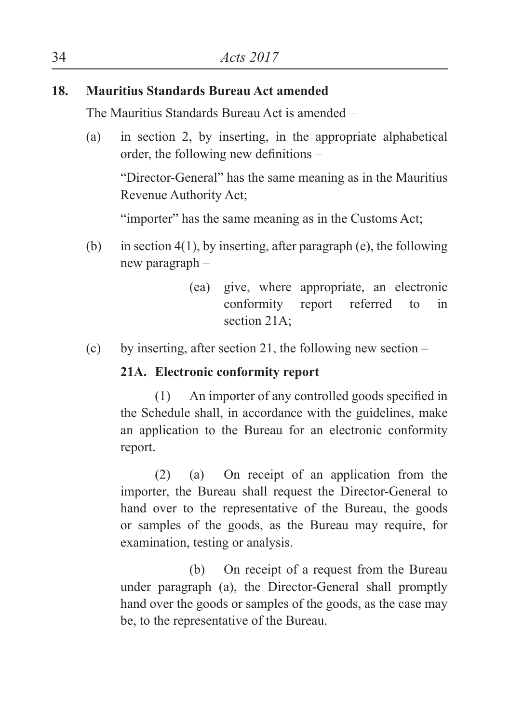### **18. Mauritius Standards Bureau Act amended**

The Mauritius Standards Bureau Act is amended –

(a) in section 2, by inserting, in the appropriate alphabetical order, the following new definitions –

 "Director-General" has the same meaning as in the Mauritius Revenue Authority Act;

"importer" has the same meaning as in the Customs Act;

- (b) in section  $4(1)$ , by inserting, after paragraph (e), the following new paragraph –
	- (ea) give, where appropriate, an electronic conformity report referred to in section 21A;
- (c) by inserting, after section 21, the following new section –

### **21A. Electronic conformity report**

(1) An importer of any controlled goods specified in the Schedule shall, in accordance with the guidelines, make an application to the Bureau for an electronic conformity report.

(2) (a) On receipt of an application from the importer, the Bureau shall request the Director-General to hand over to the representative of the Bureau, the goods or samples of the goods, as the Bureau may require, for examination, testing or analysis.

(b) On receipt of a request from the Bureau under paragraph (a), the Director-General shall promptly hand over the goods or samples of the goods, as the case may be, to the representative of the Bureau.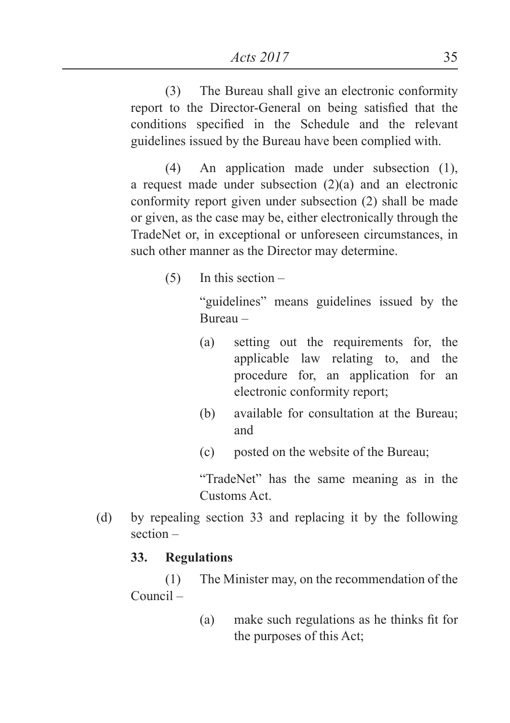(3) The Bureau shall give an electronic conformity report to the Director-General on being satisfied that the conditions specified in the Schedule and the relevant guidelines issued by the Bureau have been complied with.

(4) An application made under subsection (1), a request made under subsection  $(2)(a)$  and an electronic conformity report given under subsection (2) shall be made or given, as the case may be, either electronically through the TradeNet or, in exceptional or unforeseen circumstances, in such other manner as the Director may determine.

(5) In this section –

"guidelines" means guidelines issued by the Bureau –

- (a) setting out the requirements for, the applicable law relating to, and the procedure for, an application for an electronic conformity report;
- (b) available for consultation at the Bureau; and
- (c) posted on the website of the Bureau;

"TradeNet" has the same meaning as in the Customs Act.

(d) by repealing section 33 and replacing it by the following section –

### **33. Regulations**

(1) The Minister may, on the recommendation of the Council –

> (a) make such regulations as he thinks fit for the purposes of this Act;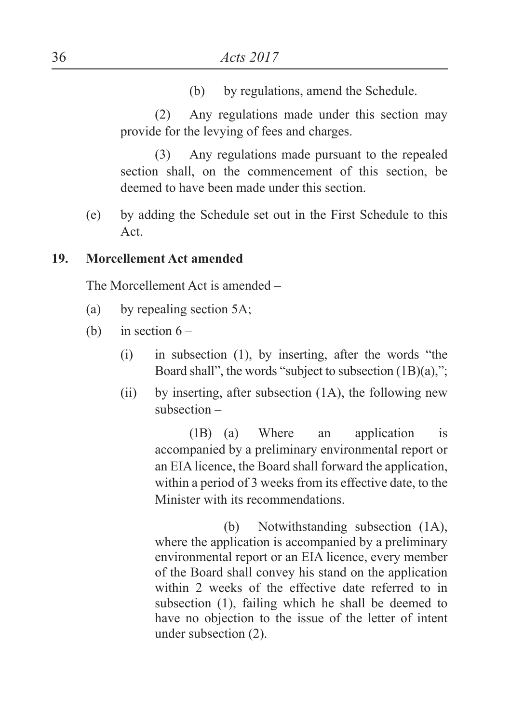(b) by regulations, amend the Schedule.

(2) Any regulations made under this section may provide for the levying of fees and charges.

(3) Any regulations made pursuant to the repealed section shall, on the commencement of this section, be deemed to have been made under this section.

(e) by adding the Schedule set out in the First Schedule to this Act.

#### **19. Morcellement Act amended**

The Morcellement Act is amended –

- (a) by repealing section 5A;
- (b) in section  $6 -$ 
	- (i) in subsection (1), by inserting, after the words "the Board shall", the words "subject to subsection (1B)(a),";
	- (ii) by inserting, after subsection  $(1A)$ , the following new subsection –

(1B) (a) Where an application is accompanied by a preliminary environmental report or an EIA licence, the Board shall forward the application, within a period of 3 weeks from its effective date, to the Minister with its recommendations.

(b) Notwithstanding subsection (1A), where the application is accompanied by a preliminary environmental report or an EIA licence, every member of the Board shall convey his stand on the application within 2 weeks of the effective date referred to in subsection (1), failing which he shall be deemed to have no objection to the issue of the letter of intent under subsection (2).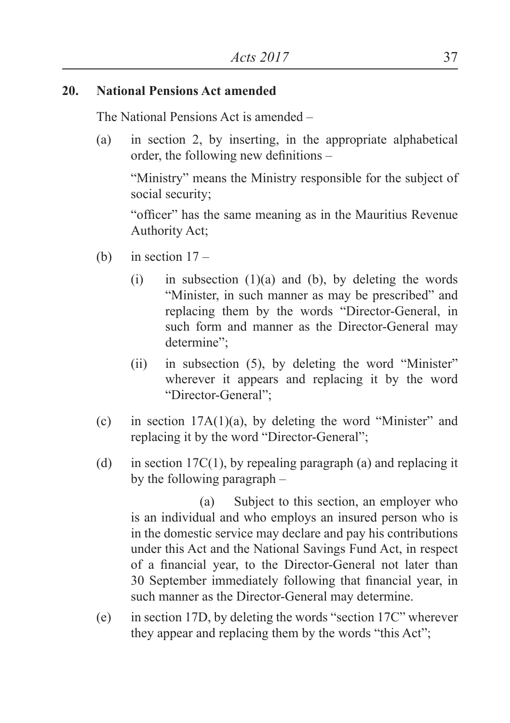#### **20. National Pensions Act amended**

The National Pensions Act is amended –

(a) in section 2, by inserting, in the appropriate alphabetical order, the following new definitions –

"Ministry" means the Ministry responsible for the subject of social security;

 "officer" has the same meaning as in the Mauritius Revenue Authority Act;

- (b) in section  $17 -$ 
	- (i) in subsection  $(1)(a)$  and  $(b)$ , by deleting the words "Minister, in such manner as may be prescribed" and replacing them by the words "Director-General, in such form and manner as the Director-General may determine";
	- (ii) in subsection (5), by deleting the word "Minister" wherever it appears and replacing it by the word "Director-General";
- (c) in section  $17A(1)(a)$ , by deleting the word "Minister" and replacing it by the word "Director-General";
- (d) in section 17C(1), by repealing paragraph (a) and replacing it by the following paragraph –

 (a) Subject to this section, an employer who is an individual and who employs an insured person who is in the domestic service may declare and pay his contributions under this Act and the National Savings Fund Act, in respect of a financial year, to the Director-General not later than 30 September immediately following that financial year, in such manner as the Director-General may determine.

(e) in section 17D, by deleting the words "section 17C" wherever they appear and replacing them by the words "this Act";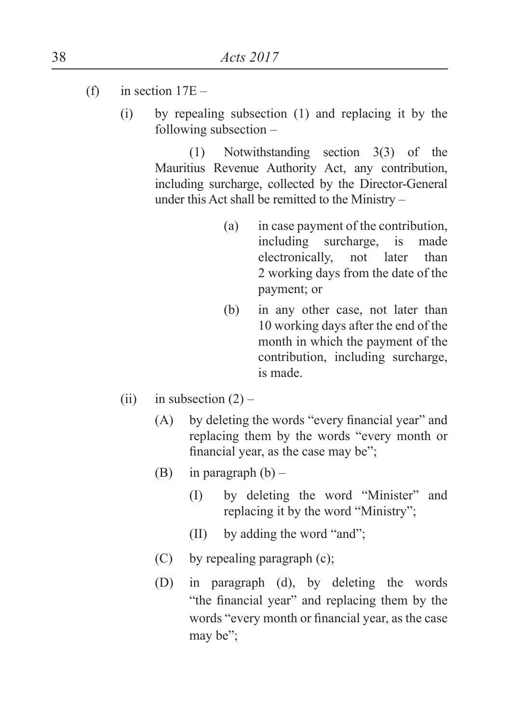- (f) in section  $17E -$ 
	- (i) by repealing subsection (1) and replacing it by the following subsection –

(1) Notwithstanding section 3(3) of the Mauritius Revenue Authority Act, any contribution, including surcharge, collected by the Director-General under this Act shall be remitted to the Ministry –

- (a) in case payment of the contribution, including surcharge, is made electronically, not later than 2 working days from the date of the payment; or
- (b) in any other case, not later than 10 working days after the end of the month in which the payment of the contribution, including surcharge, is made.
- (ii) in subsection  $(2)$ 
	- (A) by deleting the words "every financial year" and replacing them by the words "every month or financial year, as the case may be";
	- (B) in paragraph  $(b)$ 
		- (I) by deleting the word "Minister" and replacing it by the word "Ministry";
		- (II) by adding the word "and";
	- (C) by repealing paragraph (c);
	- (D) in paragraph (d), by deleting the words "the financial year" and replacing them by the words "every month or financial year, as the case may be";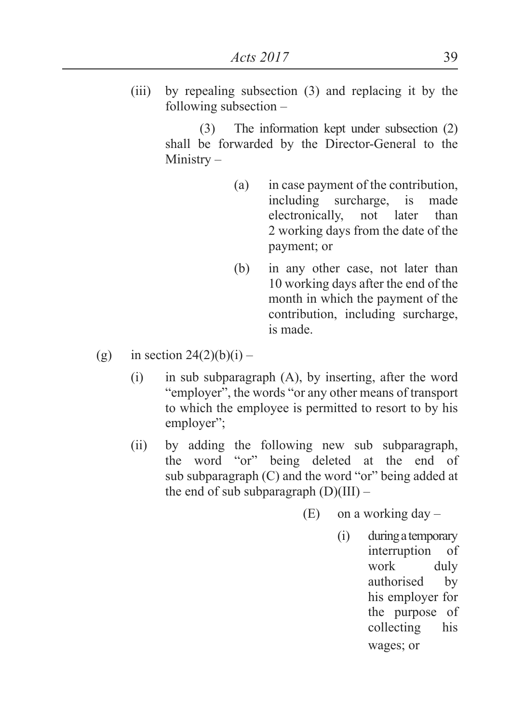(iii) by repealing subsection (3) and replacing it by the following subsection –

> (3) The information kept under subsection (2) shall be forwarded by the Director-General to the Ministry –

- (a) in case payment of the contribution, including surcharge, is made electronically, not later than 2 working days from the date of the payment; or
- (b) in any other case, not later than 10 working days after the end of the month in which the payment of the contribution, including surcharge, is made.
- (g) in section  $24(2)(b)(i)$ 
	- (i) in sub subparagraph (A), by inserting, after the word "employer", the words "or any other means of transport to which the employee is permitted to resort to by his employer";
	- (ii) by adding the following new sub subparagraph, the word "or" being deleted at the end of sub subparagraph (C) and the word "or" being added at the end of sub subparagraph  $(D)(III)$  –
		- $(E)$  on a working day
			- (i) during a temporary interruption of work duly authorised by his employer for the purpose of collecting his wages; or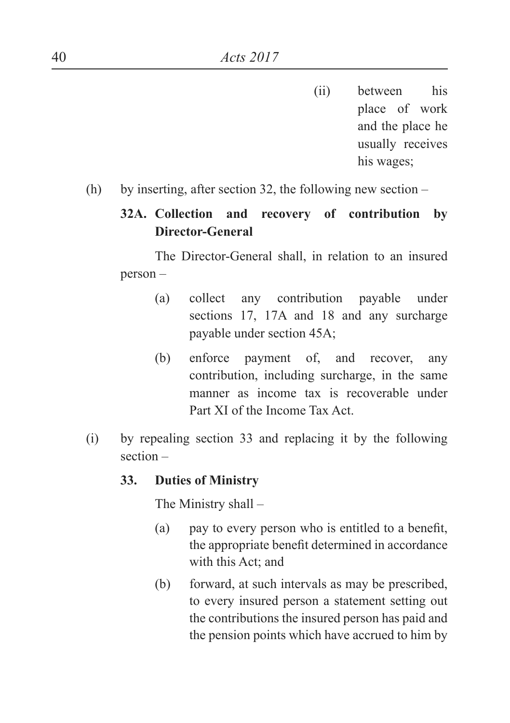- (ii) between his place of work and the place he usually receives his wages;
- (h) by inserting, after section 32, the following new section –

### **32A. Collection and recovery of contribution by Director-General**

The Director-General shall, in relation to an insured person –

- (a) collect any contribution payable under sections 17, 17A and 18 and any surcharge payable under section 45A;
- (b) enforce payment of, and recover, any contribution, including surcharge, in the same manner as income tax is recoverable under Part XI of the Income Tax Act.
- (i) by repealing section 33 and replacing it by the following section –

#### **33. Duties of Ministry**

The Ministry shall –

- (a) pay to every person who is entitled to a benefit, the appropriate benefit determined in accordance with this Act; and
- (b) forward, at such intervals as may be prescribed, to every insured person a statement setting out the contributions the insured person has paid and the pension points which have accrued to him by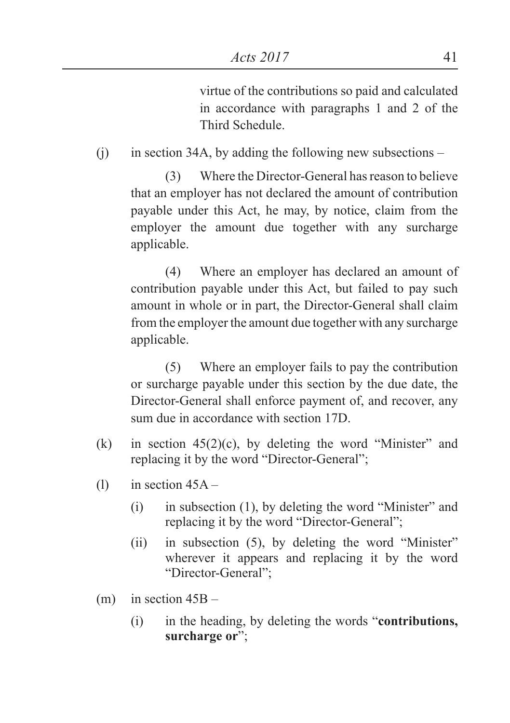virtue of the contributions so paid and calculated in accordance with paragraphs 1 and 2 of the Third Schedule.

(i) in section 34A, by adding the following new subsections –

(3) Where the Director-General has reason to believe that an employer has not declared the amount of contribution payable under this Act, he may, by notice, claim from the employer the amount due together with any surcharge applicable.

(4) Where an employer has declared an amount of contribution payable under this Act, but failed to pay such amount in whole or in part, the Director-General shall claim from the employer the amount due together with any surcharge applicable.

(5) Where an employer fails to pay the contribution or surcharge payable under this section by the due date, the Director-General shall enforce payment of, and recover, any sum due in accordance with section 17D.

- (k) in section  $45(2)(c)$ , by deleting the word "Minister" and replacing it by the word "Director-General";
- (1) in section  $45A -$ 
	- (i) in subsection (1), by deleting the word "Minister" and replacing it by the word "Director-General";
	- (ii) in subsection (5), by deleting the word "Minister" wherever it appears and replacing it by the word "Director-General";
- $(m)$  in section  $45B -$ 
	- (i) in the heading, by deleting the words "**contributions, surcharge or**";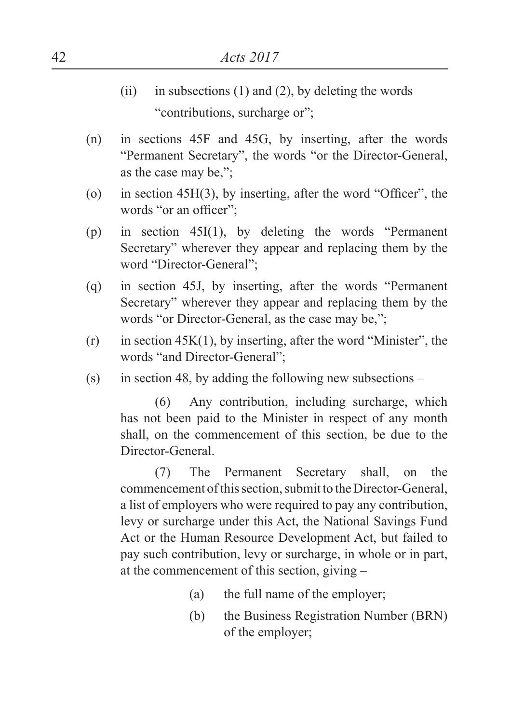- (ii) in subsections  $(1)$  and  $(2)$ , by deleting the words "contributions, surcharge or";
- (n) in sections 45F and 45G, by inserting, after the words "Permanent Secretary", the words "or the Director-General, as the case may be,";
- (o) in section 45H(3), by inserting, after the word "Officer", the words "or an officer"<sup>;</sup>
- (p) in section 45I(1), by deleting the words "Permanent Secretary" wherever they appear and replacing them by the word "Director-General";
- (q) in section 45J, by inserting, after the words "Permanent Secretary" wherever they appear and replacing them by the words "or Director-General, as the case may be,";
- $(r)$  in section 45K(1), by inserting, after the word "Minister", the words "and Director-General";
- (s) in section 48, by adding the following new subsections –

 (6) Any contribution, including surcharge, which has not been paid to the Minister in respect of any month shall, on the commencement of this section, be due to the Director-General.

(7) The Permanent Secretary shall, on the commencement of this section, submit to the Director-General, a list of employers who were required to pay any contribution, levy or surcharge under this Act, the National Savings Fund Act or the Human Resource Development Act, but failed to pay such contribution, levy or surcharge, in whole or in part, at the commencement of this section, giving –

- (a) the full name of the employer;
- (b) the Business Registration Number (BRN) of the employer;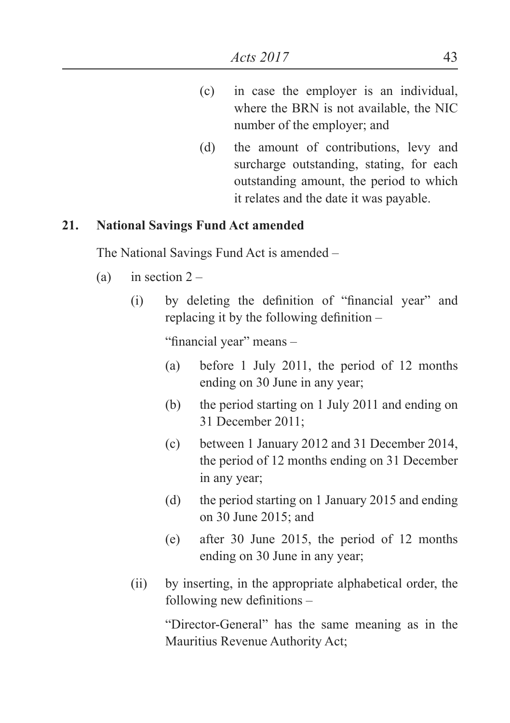- (c) in case the employer is an individual, where the BRN is not available, the NIC number of the employer; and
- (d) the amount of contributions, levy and surcharge outstanding, stating, for each outstanding amount, the period to which it relates and the date it was payable.

#### **21. National Savings Fund Act amended**

The National Savings Fund Act is amended –

- (a) in section  $2 -$ 
	- (i) by deleting the definition of "financial year" and replacing it by the following definition –

"financial year" means –

- (a) before 1 July 2011, the period of 12 months ending on 30 June in any year;
- (b) the period starting on 1 July 2011 and ending on 31 December 2011;
- (c) between 1 January 2012 and 31 December 2014, the period of 12 months ending on 31 December in any year;
- (d) the period starting on 1 January 2015 and ending on 30 June 2015; and
- (e) after 30 June 2015, the period of 12 months ending on 30 June in any year;
- (ii) by inserting, in the appropriate alphabetical order, the following new definitions –

"Director-General" has the same meaning as in the Mauritius Revenue Authority Act;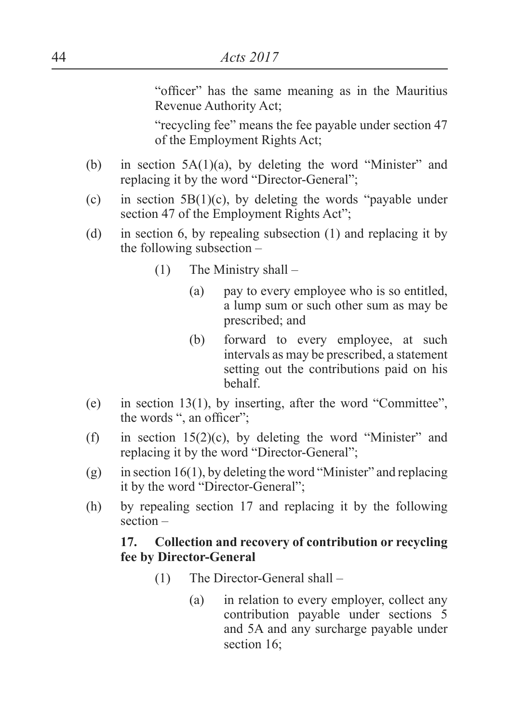"officer" has the same meaning as in the Mauritius Revenue Authority Act;

"recycling fee" means the fee payable under section 47 of the Employment Rights Act;

- (b) in section 5A(1)(a), by deleting the word "Minister" and replacing it by the word "Director-General";
- (c) in section  $5B(1)(c)$ , by deleting the words "payable under section 47 of the Employment Rights Act":
- (d) in section 6, by repealing subsection (1) and replacing it by the following subsection –
	- (1) The Ministry shall
		- (a) pay to every employee who is so entitled, a lump sum or such other sum as may be prescribed; and
		- (b) forward to every employee, at such intervals as may be prescribed, a statement setting out the contributions paid on his behalf.
- (e) in section 13(1), by inserting, after the word "Committee", the words ", an officer";
- (f) in section  $15(2)(c)$ , by deleting the word "Minister" and replacing it by the word "Director-General";
- (g) in section 16(1), by deleting the word "Minister" and replacing it by the word "Director-General";
- (h) by repealing section 17 and replacing it by the following section –

#### **17. Collection and recovery of contribution or recycling fee by Director-General**

- (1) The Director-General shall
	- (a) in relation to every employer, collect any contribution payable under sections 5 and 5A and any surcharge payable under section 16;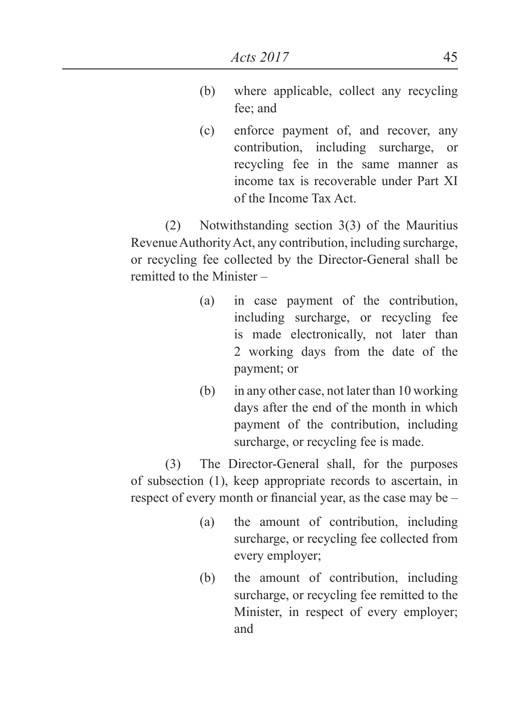- (b) where applicable, collect any recycling fee; and
- (c) enforce payment of, and recover, any contribution, including surcharge, or recycling fee in the same manner as income tax is recoverable under Part XI of the Income Tax Act.

(2) Notwithstanding section 3(3) of the Mauritius Revenue Authority Act, any contribution, including surcharge, or recycling fee collected by the Director-General shall be remitted to the Minister –

- (a) in case payment of the contribution, including surcharge, or recycling fee is made electronically, not later than 2 working days from the date of the payment; or
- (b) in any other case, not later than 10 working days after the end of the month in which payment of the contribution, including surcharge, or recycling fee is made.

(3) The Director-General shall, for the purposes of subsection (1), keep appropriate records to ascertain, in respect of every month or financial year, as the case may be –

- (a) the amount of contribution, including surcharge, or recycling fee collected from every employer;
- (b) the amount of contribution, including surcharge, or recycling fee remitted to the Minister, in respect of every employer; and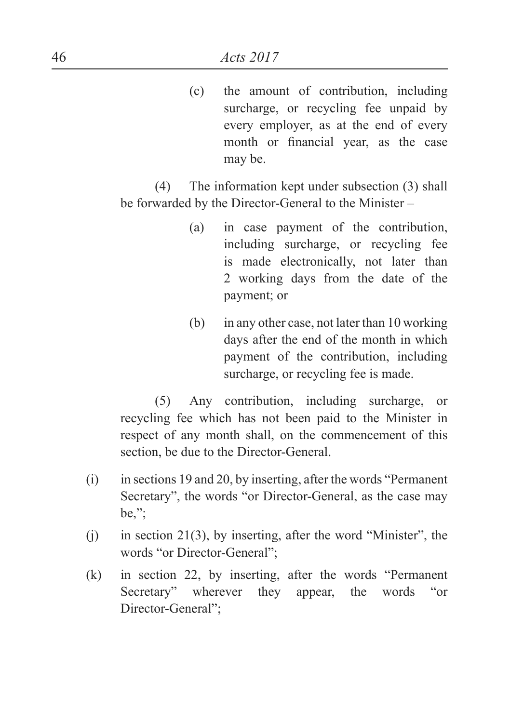(c) the amount of contribution, including surcharge, or recycling fee unpaid by every employer, as at the end of every month or financial year, as the case may be.

(4) The information kept under subsection (3) shall be forwarded by the Director-General to the Minister –

- (a) in case payment of the contribution, including surcharge, or recycling fee is made electronically, not later than 2 working days from the date of the payment; or
- (b) in any other case, not later than 10 working days after the end of the month in which payment of the contribution, including surcharge, or recycling fee is made.

(5) Any contribution, including surcharge, or recycling fee which has not been paid to the Minister in respect of any month shall, on the commencement of this section, be due to the Director-General.

- (i) in sections 19 and 20, by inserting, after the words "Permanent Secretary", the words "or Director-General, as the case may be,";
- $(i)$  in section 21(3), by inserting, after the word "Minister", the words "or Director-General";
- (k) in section 22, by inserting, after the words "Permanent Secretary" wherever they appear, the words "or Director-General";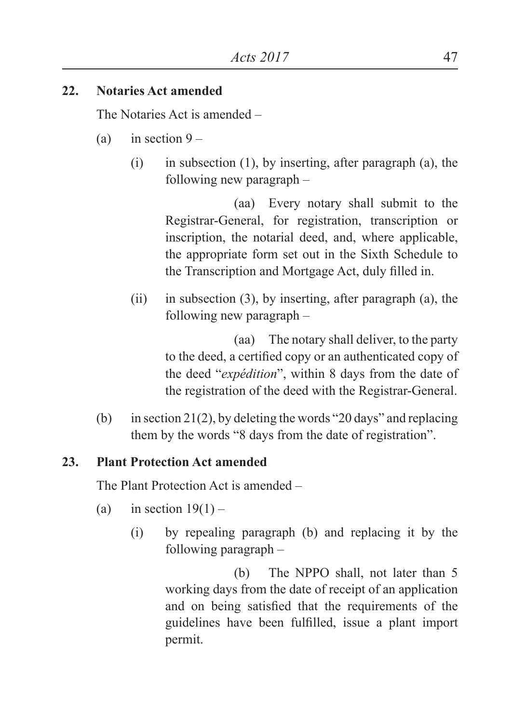### **22. Notaries Act amended**

The Notaries Act is amended –

- (a) in section  $9 -$ 
	- $(i)$  in subsection  $(1)$ , by inserting, after paragraph  $(a)$ , the following new paragraph –

(aa) Every notary shall submit to the Registrar-General, for registration, transcription or inscription, the notarial deed, and, where applicable, the appropriate form set out in the Sixth Schedule to the Transcription and Mortgage Act, duly filled in.

(ii) in subsection (3), by inserting, after paragraph (a), the following new paragraph –

> (aa) The notary shall deliver, to the party to the deed, a certified copy or an authenticated copy of the deed "*expédition*", within 8 days from the date of the registration of the deed with the Registrar-General.

(b) in section 21(2), by deleting the words "20 days" and replacing them by the words "8 days from the date of registration".

### **23. Plant Protection Act amended**

The Plant Protection Act is amended –

- (a) in section  $19(1)$ 
	- (i) by repealing paragraph (b) and replacing it by the following paragraph –

(b) The NPPO shall, not later than 5 working days from the date of receipt of an application and on being satisfied that the requirements of the guidelines have been fulfilled, issue a plant import permit.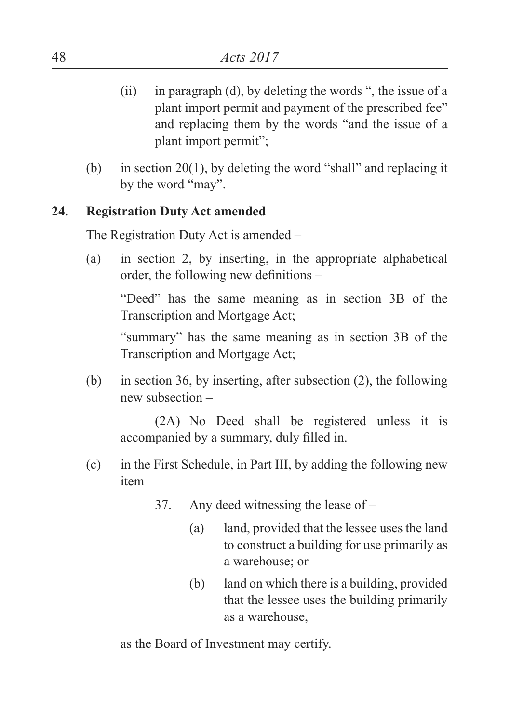- (ii) in paragraph (d), by deleting the words ", the issue of a plant import permit and payment of the prescribed fee" and replacing them by the words "and the issue of a plant import permit";
- (b) in section 20(1), by deleting the word "shall" and replacing it by the word "may".

#### **24. Registration Duty Act amended**

The Registration Duty Act is amended –

(a) in section 2, by inserting, in the appropriate alphabetical order, the following new definitions –

"Deed" has the same meaning as in section 3B of the Transcription and Mortgage Act;

"summary" has the same meaning as in section 3B of the Transcription and Mortgage Act;

(b) in section 36, by inserting, after subsection (2), the following new subsection –

(2A) No Deed shall be registered unless it is accompanied by a summary, duly filled in.

- (c) in the First Schedule, in Part III, by adding the following new item –
	- 37. Any deed witnessing the lease of
		- (a) land, provided that the lessee uses the land to construct a building for use primarily as a warehouse; or
		- (b) land on which there is a building, provided that the lessee uses the building primarily as a warehouse,

as the Board of Investment may certify.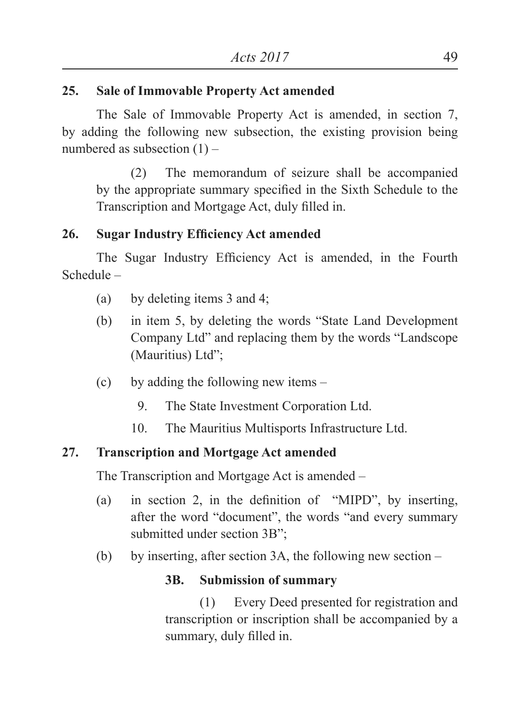### **25. Sale of Immovable Property Act amended**

The Sale of Immovable Property Act is amended, in section 7, by adding the following new subsection, the existing provision being numbered as subsection (1) –

(2) The memorandum of seizure shall be accompanied by the appropriate summary specified in the Sixth Schedule to the Transcription and Mortgage Act, duly filled in.

### **26. Sugar Industry Efficiency Act amended**

The Sugar Industry Efficiency Act is amended, in the Fourth Schedule –

- (a) by deleting items 3 and 4;
- (b) in item 5, by deleting the words "State Land Development Company Ltd" and replacing them by the words "Landscope (Mauritius) Ltd";
- (c) by adding the following new items
	- 9. The State Investment Corporation Ltd.
	- 10. The Mauritius Multisports Infrastructure Ltd.

### **27. Transcription and Mortgage Act amended**

The Transcription and Mortgage Act is amended –

- (a) in section 2, in the definition of "MIPD", by inserting, after the word "document", the words "and every summary submitted under section 3B";
- (b) by inserting, after section 3A, the following new section  $-$

### **3B. Submission of summary**

(1) Every Deed presented for registration and transcription or inscription shall be accompanied by a summary, duly filled in.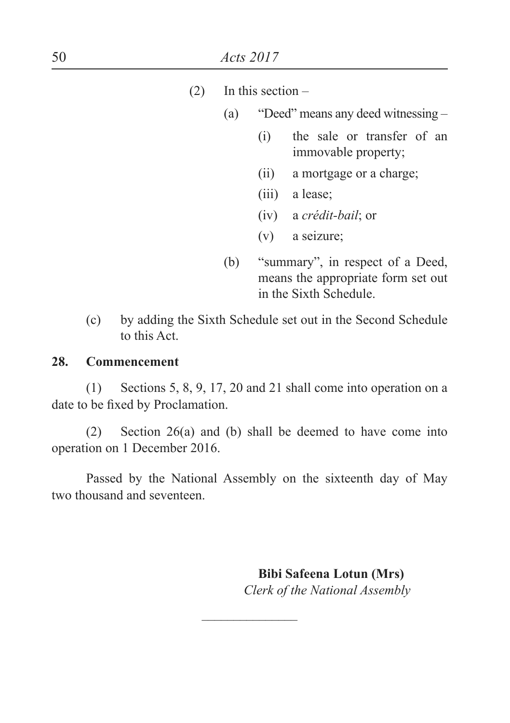- $(2)$  In this section
	- (a) "Deed" means any deed witnessing
		- (i) the sale or transfer of an immovable property;
		- (ii) a mortgage or a charge;
		- (iii) a lease;
		- (iv) a *crédit-bail*; or
		- (v) a seizure;
	- (b) "summary", in respect of a Deed, means the appropriate form set out in the Sixth Schedule.
- (c) by adding the Sixth Schedule set out in the Second Schedule to this Act.

#### **28. Commencement**

(1) Sections 5, 8, 9, 17, 20 and 21 shall come into operation on a date to be fixed by Proclamation.

(2) Section 26(a) and (b) shall be deemed to have come into operation on 1 December 2016.

Passed by the National Assembly on the sixteenth day of May two thousand and seventeen.

 $\mathcal{L}$  , we have the set of the set of the set of the set of the set of the set of the set of the set of the set of the set of the set of the set of the set of the set of the set of the set of the set of the set of the

 **Bibi Safeena Lotun (Mrs)** *Clerk of the National Assembly*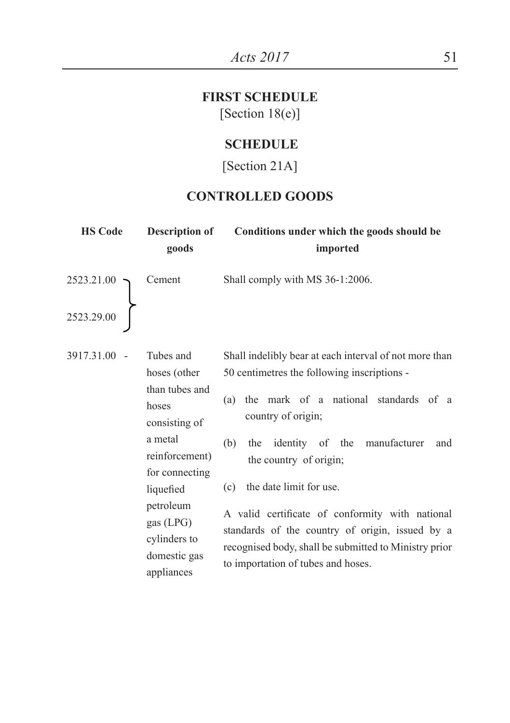## **FIRST SCHEDULE**  [Section 18(e)]

#### **SCHEDULE**

### [Section 21A]

### **CONTROLLED GOODS**

| <b>HS Code</b>                                                                          | Description of<br>goods                                                                                                                                                                                     | Conditions under which the goods should be<br>imported                                                                                                                                                                                                                                                                                                                                                                                                                                      |
|-----------------------------------------------------------------------------------------|-------------------------------------------------------------------------------------------------------------------------------------------------------------------------------------------------------------|---------------------------------------------------------------------------------------------------------------------------------------------------------------------------------------------------------------------------------------------------------------------------------------------------------------------------------------------------------------------------------------------------------------------------------------------------------------------------------------------|
| $\left.\begin{array}{c} \textbf{2523.21.00} \\ \textbf{2523.29.00} \end{array}\right\}$ | Cement                                                                                                                                                                                                      | Shall comply with MS 36-1:2006.                                                                                                                                                                                                                                                                                                                                                                                                                                                             |
| 3917.31.00 -                                                                            | Tubes and<br>hoses (other<br>than tubes and<br>hoses<br>consisting of<br>a metal<br>reinforcement)<br>for connecting<br>liquefied<br>petroleum<br>gas $(LPG)$<br>cylinders to<br>domestic gas<br>appliances | Shall indelibly bear at each interval of not more than<br>50 centimetres the following inscriptions -<br>(a) the mark of a national standards of a<br>country of origin;<br>the identity of the manufacturer<br>(b)<br>and<br>the country of origin;<br>the date limit for use.<br>(c)<br>A valid certificate of conformity with national<br>standards of the country of origin, issued by a<br>recognised body, shall be submitted to Ministry prior<br>to importation of tubes and hoses. |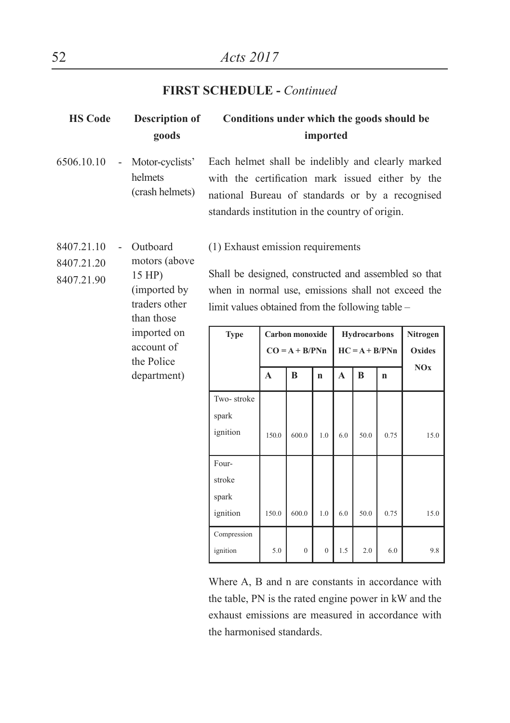### **FIRST SCHEDULE -** *Continued*

| <b>HS Code</b>                                                                                                               |                | <b>Description of</b><br>goods                                                                                                                                                                      | Conditions under which the goods should be<br>imported                                                                                                                                                      |       |                  |                |              |                     |      |            |
|------------------------------------------------------------------------------------------------------------------------------|----------------|-----------------------------------------------------------------------------------------------------------------------------------------------------------------------------------------------------|-------------------------------------------------------------------------------------------------------------------------------------------------------------------------------------------------------------|-------|------------------|----------------|--------------|---------------------|------|------------|
| 6506.10.10                                                                                                                   | $\overline{a}$ | Motor-cyclists'<br>helmets<br>(crash helmets)                                                                                                                                                       | Each helmet shall be indelibly and clearly marked<br>with the certification mark issued either by the<br>national Bureau of standards or by a recognised<br>standards institution in the country of origin. |       |                  |                |              |                     |      |            |
| 8407.21.10<br>Outboard<br>motors (above<br>8407.21.20<br>15 HP)<br>8407.21.90<br>(imported by<br>traders other<br>than those |                | (1) Exhaust emission requirements<br>Shall be designed, constructed and assembled so that<br>when in normal use, emissions shall not exceed the<br>limit values obtained from the following table – |                                                                                                                                                                                                             |       |                  |                |              |                     |      |            |
|                                                                                                                              |                | imported on                                                                                                                                                                                         | <b>Type</b>                                                                                                                                                                                                 |       | Carbon monoxide  |                |              | <b>Hydrocarbons</b> |      | Nitrogen   |
|                                                                                                                              |                | account of<br>the Police                                                                                                                                                                            |                                                                                                                                                                                                             |       | $CO = A + B/PNn$ |                |              | $HC = A + B/PNn$    |      | Oxides     |
|                                                                                                                              |                | department)                                                                                                                                                                                         |                                                                                                                                                                                                             | A     | B                | $\mathbf{n}$   | $\mathbf{A}$ | B                   | n    | <b>NOx</b> |
|                                                                                                                              |                |                                                                                                                                                                                                     | Two-stroke<br>spark<br>ignition                                                                                                                                                                             | 1500  | 6000             | 1 <sub>0</sub> | 60           | 50.0                | 0.75 | 15.0       |
|                                                                                                                              |                |                                                                                                                                                                                                     | Four-<br>stroke<br>spark<br>ignition                                                                                                                                                                        | 150.0 | 600.0            | 1.0            | 6.0          | 50.0                | 0.75 | 15.0       |
|                                                                                                                              |                |                                                                                                                                                                                                     | Compression<br>ignition                                                                                                                                                                                     | 5.0   | $\overline{0}$   | $\mathbf{0}$   | 1.5          | 2.0                 | 6.0  | 9.8        |

Where A, B and n are constants in accordance with the table, PN is the rated engine power in kW and the exhaust emissions are measured in accordance with the harmonised standards.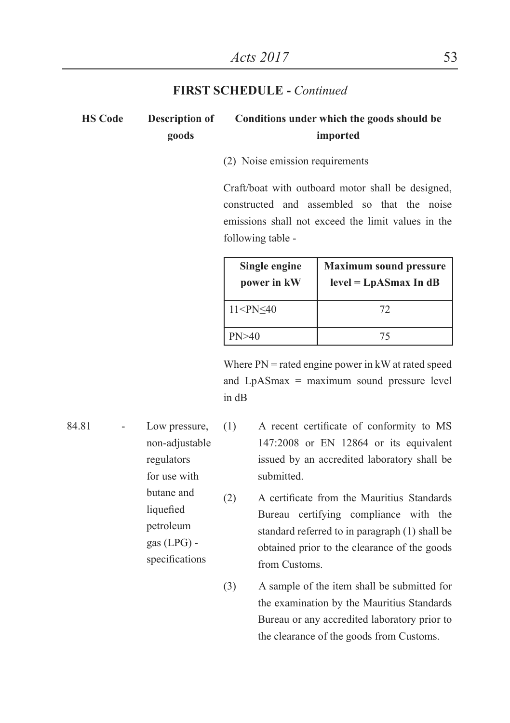#### **FIRST SCHEDULE -** *Continued*

#### **HS Code Description of goods Conditions under which the goods should be imported**

#### (2) Noise emission requirements

Craft/boat with outboard motor shall be designed, constructed and assembled so that the noise emissions shall not exceed the limit values in the following table -

| Single engine<br>power in kW          | <b>Maximum sound pressure</b><br>$level = LpASmax$ In dB |
|---------------------------------------|----------------------------------------------------------|
| 11 <pn≤40< td=""><td>72</td></pn≤40<> | 72                                                       |
| PN>40                                 |                                                          |

Where  $PN$  = rated engine power in kW at rated speed and LpASmax = maximum sound pressure level in dB

84.81 - Low pressure, non-adjustable regulators for use with butane and liquefied petroleum gas (LPG) specifications

- (1) A recent certificate of conformity to MS 147:2008 or EN 12864 or its equivalent issued by an accredited laboratory shall be submitted.
- (2) A certificate from the Mauritius Standards Bureau certifying compliance with the standard referred to in paragraph (1) shall be obtained prior to the clearance of the goods from Customs.
- (3) A sample of the item shall be submitted for the examination by the Mauritius Standards Bureau or any accredited laboratory prior to the clearance of the goods from Customs.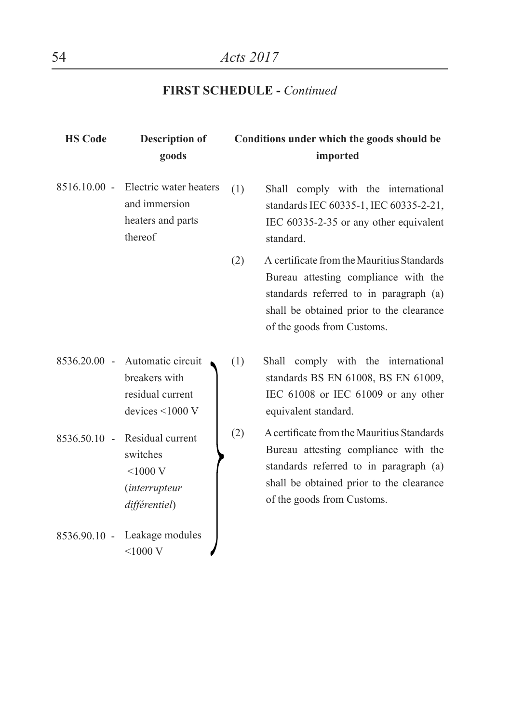## **FIRST SCHEDULE -** *Continued*

| <b>HS Code</b> | <b>Description of</b><br>goods                                                       |     | Conditions under which the goods should be<br>imported                                                                                                                                                 |
|----------------|--------------------------------------------------------------------------------------|-----|--------------------------------------------------------------------------------------------------------------------------------------------------------------------------------------------------------|
| $8516.10.00 -$ | Electric water heaters<br>and immersion<br>heaters and parts<br>thereof              | (1) | Shall comply with the international<br>standards IEC 60335-1, IEC 60335-2-21,<br>IEC 60335-2-35 or any other equivalent<br>standard.                                                                   |
|                |                                                                                      | (2) | A certificate from the Mauritius Standards<br>Bureau attesting compliance with the<br>standards referred to in paragraph (a)<br>shall be obtained prior to the clearance<br>of the goods from Customs. |
| 8536.20.00 -   | Automatic circuit<br>breakers with<br>residual current<br>devices $\leq 1000$ V      | (1) | Shall comply with the international<br>standards BS EN 61008, BS EN 61009,<br>IEC 61008 or IEC 61009 or any other<br>equivalent standard.                                                              |
| $8536.50.10 -$ | Residual current<br>switches<br>$<$ 1000 V<br><i>(interrupteur)</i><br>différentiel) | (2) | A certificate from the Mauritius Standards<br>Bureau attesting compliance with the<br>standards referred to in paragraph (a)<br>shall be obtained prior to the clearance<br>of the goods from Customs. |
| 8536.90.10 -   | Leakage modules<br>$<$ 1000 V                                                        |     |                                                                                                                                                                                                        |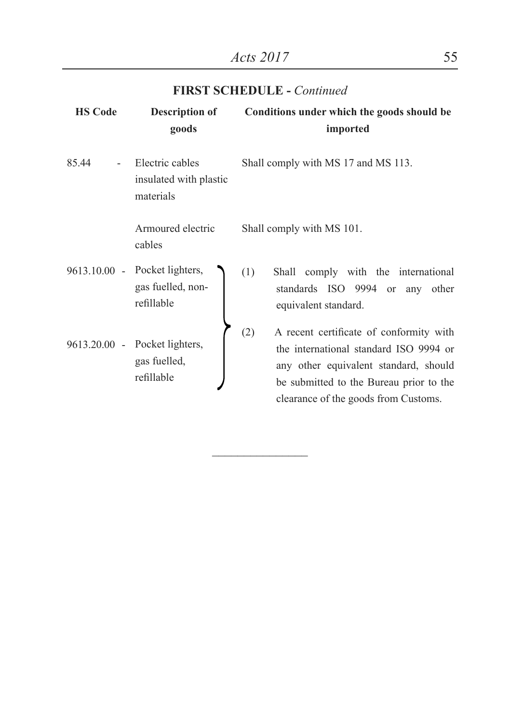| <b>HS Code</b> | <b>Description of</b><br>goods                              | Conditions under which the goods should be<br>imported                                                                                                                                                               |
|----------------|-------------------------------------------------------------|----------------------------------------------------------------------------------------------------------------------------------------------------------------------------------------------------------------------|
| 85.44          | Electric cables<br>insulated with plastic<br>materials      | Shall comply with MS 17 and MS 113.                                                                                                                                                                                  |
|                | Armoured electric<br>cables                                 | Shall comply with MS 101.                                                                                                                                                                                            |
| $9613.10.00 -$ | Pocket lighters,<br>gas fuelled, non-<br>refillable         | (1)<br>Shall comply with the international<br>standards ISO 9994 or any other<br>equivalent standard.                                                                                                                |
|                | 9613.20.00 - Pocket lighters,<br>gas fuelled,<br>refillable | (2)<br>A recent certificate of conformity with<br>the international standard ISO 9994 or<br>any other equivalent standard, should<br>be submitted to the Bureau prior to the<br>clearance of the goods from Customs. |

\_\_\_\_\_\_\_\_\_\_\_\_\_\_\_

#### **FIRST SCHEDULE -** *Continued*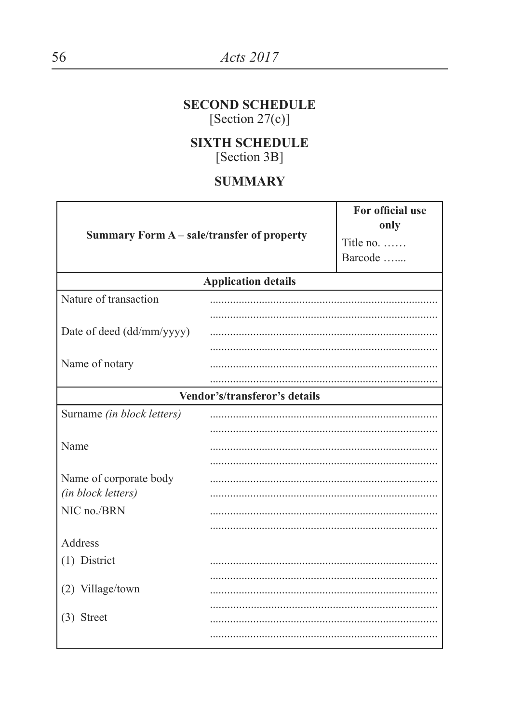### **SECOND SCHEDULE** [Section  $27(c)$ ]

**SIXTH SCHEDULE** [Section 3B]

### **SUMMARY**

| Summary Form A - sale/transfer of property   | For official use<br>only<br>Title no. $\dots$<br>Barcode |  |
|----------------------------------------------|----------------------------------------------------------|--|
|                                              | <b>Application details</b>                               |  |
| Nature of transaction                        |                                                          |  |
| Date of deed (dd/mm/yyyy)                    |                                                          |  |
| Name of notary                               |                                                          |  |
|                                              | Vendor's/transferor's details                            |  |
| Surname (in block letters)                   |                                                          |  |
| Name                                         |                                                          |  |
| Name of corporate body<br>(in block letters) |                                                          |  |
| NIC no./BRN                                  |                                                          |  |
| Address                                      |                                                          |  |
| (1) District                                 |                                                          |  |
| (2) Village/town                             |                                                          |  |
| $(3)$ Street                                 |                                                          |  |
|                                              |                                                          |  |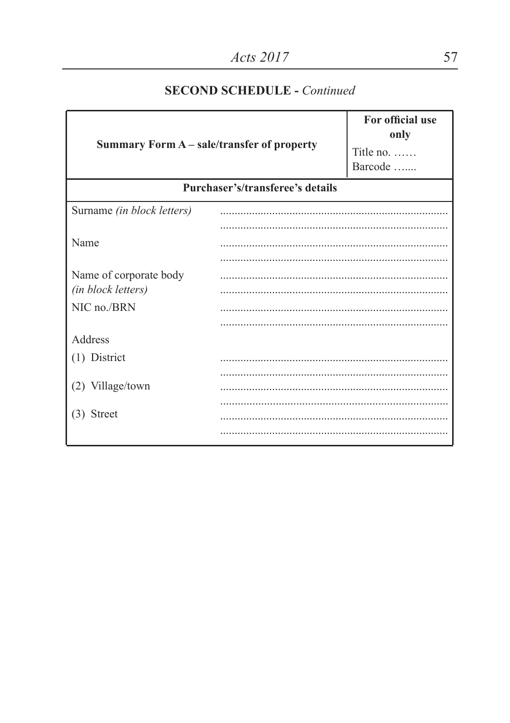| Summary Form A - sale/transfer of property | For official use<br>only<br>Title no.<br>Barcode |  |  |  |
|--------------------------------------------|--------------------------------------------------|--|--|--|
|                                            | Purchaser's/transferee's details                 |  |  |  |
| Surname (in block letters)                 |                                                  |  |  |  |
|                                            |                                                  |  |  |  |
| Name                                       |                                                  |  |  |  |
|                                            |                                                  |  |  |  |
| Name of corporate body                     |                                                  |  |  |  |
| (in block letters)                         |                                                  |  |  |  |
| NIC no./BRN                                |                                                  |  |  |  |
|                                            |                                                  |  |  |  |
| Address                                    |                                                  |  |  |  |
| $(1)$ District                             |                                                  |  |  |  |
|                                            |                                                  |  |  |  |
| (2) Village/town                           |                                                  |  |  |  |
| (3) Street                                 |                                                  |  |  |  |
|                                            |                                                  |  |  |  |
|                                            |                                                  |  |  |  |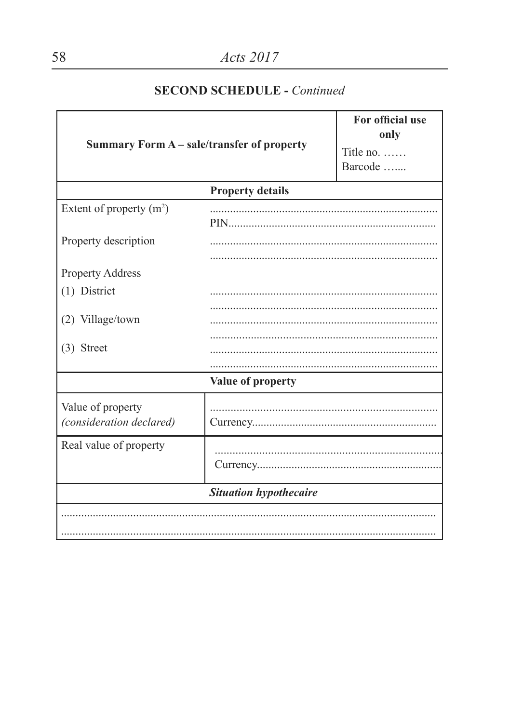| Summary Form A - sale/transfer of property    |                         | For official use<br>only |  |  |
|-----------------------------------------------|-------------------------|--------------------------|--|--|
|                                               |                         | Title no.                |  |  |
|                                               |                         | Barcode                  |  |  |
|                                               | <b>Property details</b> |                          |  |  |
| Extent of property $(m^2)$                    |                         |                          |  |  |
|                                               | PIN FOR THE THEFT       |                          |  |  |
| Property description                          |                         | .                        |  |  |
|                                               |                         |                          |  |  |
| Property Address                              |                         |                          |  |  |
| (1) District                                  |                         |                          |  |  |
|                                               |                         |                          |  |  |
| (2) Village/town                              |                         |                          |  |  |
| $(3)$ Street                                  |                         |                          |  |  |
|                                               |                         |                          |  |  |
|                                               | Value of property       |                          |  |  |
|                                               |                         |                          |  |  |
| Value of property<br>(consideration declared) |                         |                          |  |  |
|                                               |                         |                          |  |  |
| Real value of property                        |                         |                          |  |  |
|                                               |                         |                          |  |  |
| <b>Situation hypothecaire</b>                 |                         |                          |  |  |
|                                               |                         |                          |  |  |
|                                               |                         |                          |  |  |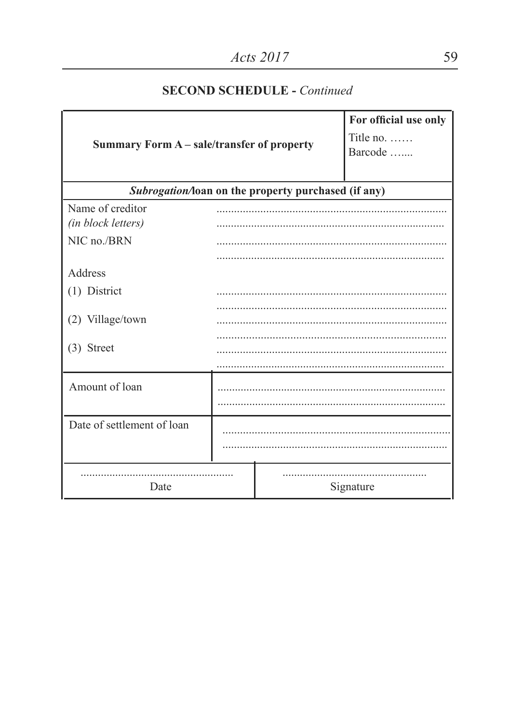| Summary Form A - sale/transfer of property |  | For official use only<br>Title no.<br>Barcode       |           |
|--------------------------------------------|--|-----------------------------------------------------|-----------|
|                                            |  | Subrogation/loan on the property purchased (if any) |           |
| Name of creditor<br>(in block letters)     |  |                                                     |           |
| NIC no./BRN                                |  |                                                     |           |
| Address                                    |  |                                                     |           |
| (1) District                               |  |                                                     |           |
| (2) Village/town                           |  |                                                     |           |
| (3) Street                                 |  |                                                     |           |
| Amount of loan                             |  |                                                     |           |
| Date of settlement of loan                 |  |                                                     |           |
| Date                                       |  |                                                     | Signature |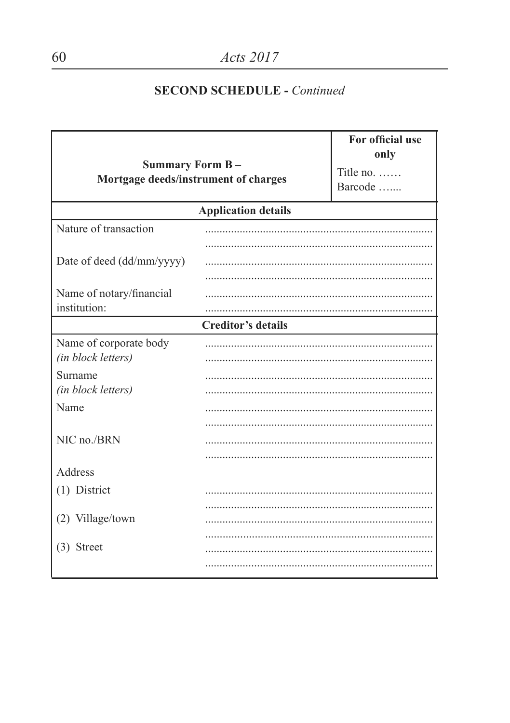| <b>Summary Form B-</b><br>Mortgage deeds/instrument of charges |                            | For official use<br>only<br>Title no.<br>Barcode |
|----------------------------------------------------------------|----------------------------|--------------------------------------------------|
|                                                                | <b>Application details</b> |                                                  |
| Nature of transaction                                          |                            |                                                  |
| Date of deed (dd/mm/yyyy)                                      |                            |                                                  |
| Name of notary/financial                                       |                            |                                                  |
| institution:                                                   |                            |                                                  |
|                                                                | <b>Creditor's details</b>  |                                                  |
| Name of corporate body<br>(in block letters)                   |                            |                                                  |
| Surname<br>(in block letters)                                  |                            |                                                  |
| Name                                                           |                            |                                                  |
| NIC no./BRN                                                    |                            |                                                  |
| Address                                                        |                            |                                                  |
| (1) District                                                   |                            |                                                  |
| (2) Village/town                                               |                            |                                                  |
| $(3)$ Street                                                   |                            |                                                  |
|                                                                |                            |                                                  |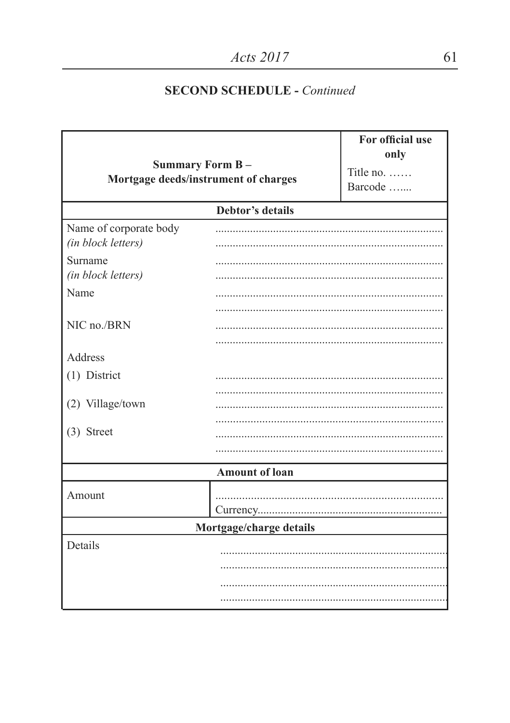| Summary Form B-<br>Mortgage deeds/instrument of charges |                       | For official use<br>only<br>Title no.<br>Barcode |  |  |
|---------------------------------------------------------|-----------------------|--------------------------------------------------|--|--|
|                                                         | Debtor's details      |                                                  |  |  |
| Name of corporate body<br>(in block letters)            |                       |                                                  |  |  |
| Surname<br>(in block letters)                           |                       |                                                  |  |  |
| Name                                                    |                       |                                                  |  |  |
| NIC no./BRN                                             |                       |                                                  |  |  |
| Address                                                 |                       |                                                  |  |  |
| (1) District                                            |                       |                                                  |  |  |
| (2) Village/town                                        |                       |                                                  |  |  |
| $(3)$ Street                                            |                       |                                                  |  |  |
|                                                         |                       |                                                  |  |  |
|                                                         | <b>Amount of loan</b> |                                                  |  |  |
| Amount                                                  |                       |                                                  |  |  |
| Mortgage/charge details                                 |                       |                                                  |  |  |
| Details                                                 |                       |                                                  |  |  |
|                                                         |                       |                                                  |  |  |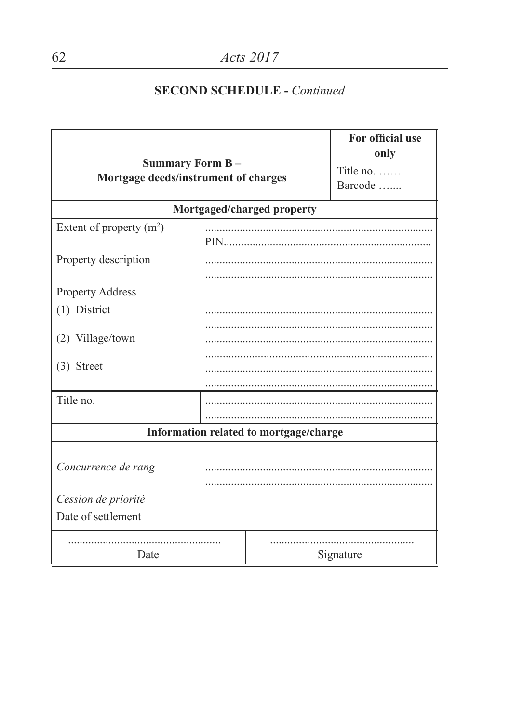| <b>Summary Form B-</b><br>Mortgage deeds/instrument of charges |                            | For official use<br>only<br>Title no. $\dots$<br>Barcode |           |  |
|----------------------------------------------------------------|----------------------------|----------------------------------------------------------|-----------|--|
|                                                                | Mortgaged/charged property |                                                          |           |  |
| Extent of property $(m2)$                                      |                            |                                                          |           |  |
| Property description                                           |                            |                                                          |           |  |
| Property Address                                               |                            |                                                          |           |  |
| (1) District                                                   |                            |                                                          |           |  |
| (2) Village/town                                               |                            |                                                          |           |  |
| $(3)$ Street                                                   |                            |                                                          |           |  |
| Title no.                                                      |                            |                                                          |           |  |
|                                                                |                            | Information related to mortgage/charge                   |           |  |
| Concurrence de rang                                            |                            |                                                          |           |  |
| Cession de priorité<br>Date of settlement                      |                            |                                                          |           |  |
| Date                                                           |                            |                                                          | Signature |  |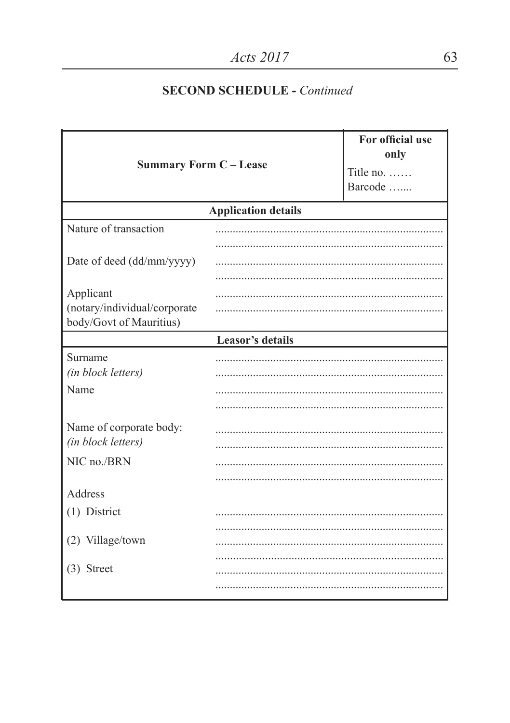| <b>Summary Form C-Lease</b>                             |                            | For official use<br>only<br>Title no.<br>Barcode |  |
|---------------------------------------------------------|----------------------------|--------------------------------------------------|--|
|                                                         | <b>Application details</b> |                                                  |  |
| Nature of transaction                                   |                            |                                                  |  |
| Date of deed (dd/mm/yyyy)                               |                            |                                                  |  |
| Applicant                                               |                            |                                                  |  |
| (notary/individual/corporate<br>body/Govt of Mauritius) |                            |                                                  |  |
|                                                         | Leasor's details           |                                                  |  |
| Surname<br>(in block letters)                           |                            |                                                  |  |
| Name                                                    |                            |                                                  |  |
|                                                         |                            |                                                  |  |
| Name of corporate body:<br>(in block letters)           |                            |                                                  |  |
| NIC no./BRN                                             |                            |                                                  |  |
|                                                         |                            |                                                  |  |
| Address                                                 |                            |                                                  |  |
| (1) District                                            |                            |                                                  |  |
| (2) Village/town                                        |                            |                                                  |  |
|                                                         |                            |                                                  |  |
| $(3)$ Street                                            |                            |                                                  |  |
|                                                         |                            |                                                  |  |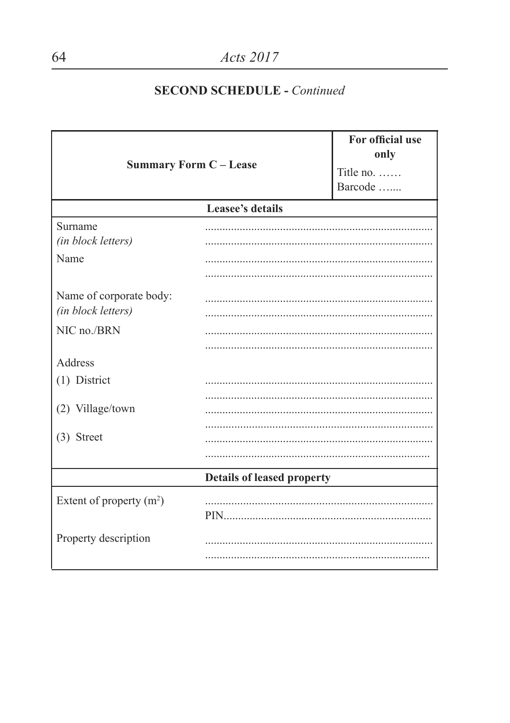| <b>Summary Form C - Lease</b>                 |                                   | For official use<br>only<br>Title no. $\dots$<br>Barcode |
|-----------------------------------------------|-----------------------------------|----------------------------------------------------------|
|                                               | Leasee's details                  |                                                          |
| Surname<br>(in block letters)                 |                                   |                                                          |
| Name                                          |                                   |                                                          |
| Name of corporate body:<br>(in block letters) |                                   |                                                          |
| NIC no./BRN                                   |                                   |                                                          |
| Address                                       |                                   |                                                          |
| (1) District                                  |                                   |                                                          |
| (2) Village/town                              |                                   |                                                          |
| $(3)$ Street                                  |                                   |                                                          |
|                                               | <b>Details of leased property</b> |                                                          |
| Extent of property $(m2)$                     |                                   |                                                          |
| Property description                          |                                   |                                                          |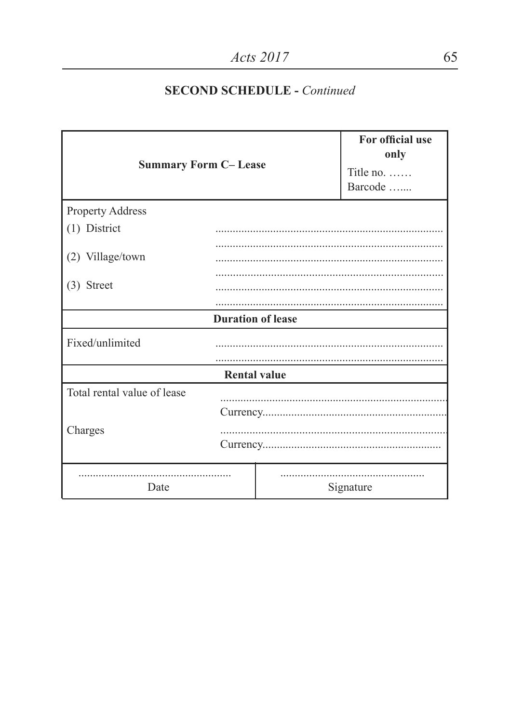| <b>Summary Form C-Lease</b> |                          | For official use<br>only<br>Title no.<br>Barcode |           |
|-----------------------------|--------------------------|--------------------------------------------------|-----------|
| Property Address            |                          |                                                  |           |
| (1) District                |                          |                                                  |           |
|                             |                          |                                                  |           |
| (2) Village/town            |                          |                                                  |           |
|                             |                          |                                                  |           |
| $(3)$ Street                |                          |                                                  |           |
|                             |                          |                                                  |           |
|                             | <b>Duration of lease</b> |                                                  |           |
| Fixed/unlimited             |                          |                                                  |           |
|                             |                          |                                                  |           |
| <b>Rental value</b>         |                          |                                                  |           |
| Total rental value of lease |                          |                                                  |           |
|                             |                          |                                                  |           |
| Charges                     |                          |                                                  |           |
| Date                        |                          |                                                  | Signature |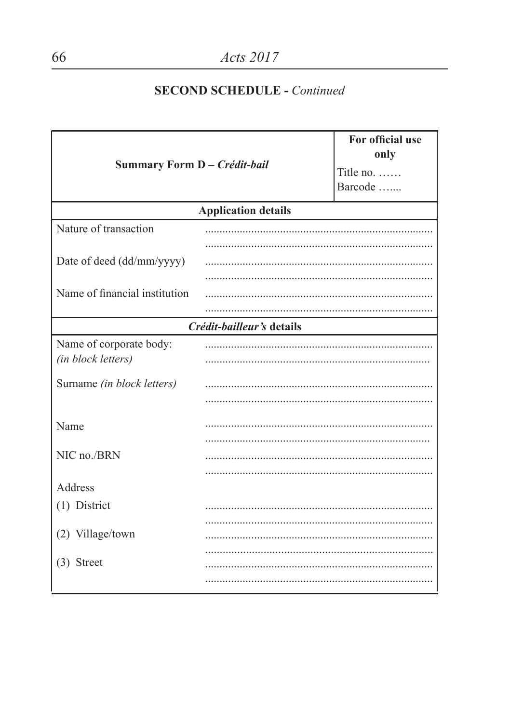| Summary Form D - Crédit-bail                  |                            | For official use<br>only<br>Title no.<br>Barcode |
|-----------------------------------------------|----------------------------|--------------------------------------------------|
|                                               | <b>Application details</b> |                                                  |
| Nature of transaction                         |                            |                                                  |
| Date of deed (dd/mm/yyyy)                     |                            |                                                  |
| Name of financial institution                 |                            |                                                  |
|                                               | Crédit-bailleur's details  |                                                  |
| Name of corporate body:<br>(in block letters) |                            |                                                  |
| Surname (in block letters)                    |                            |                                                  |
| Name                                          | .                          |                                                  |
| NIC no./BRN                                   |                            |                                                  |
| Address                                       |                            |                                                  |
| (1) District                                  |                            |                                                  |
| (2) Village/town                              |                            |                                                  |
| $(3)$ Street                                  |                            |                                                  |
|                                               |                            |                                                  |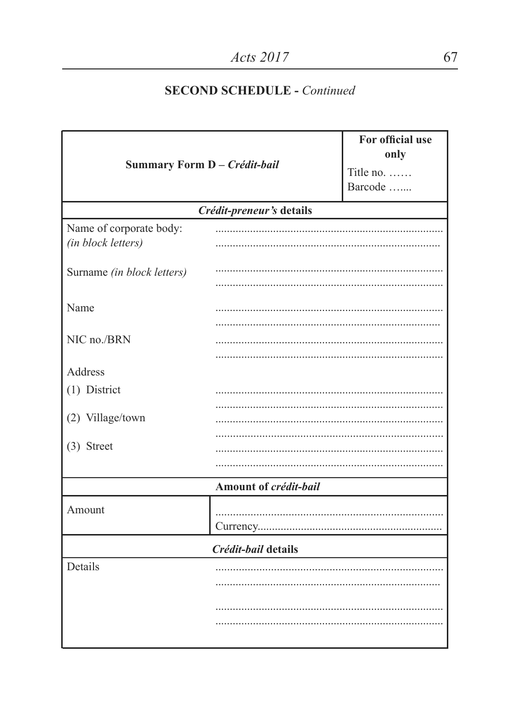| Summary Form D - Crédit-bail |                       |  |  |
|------------------------------|-----------------------|--|--|
| Crédit-preneur's details     |                       |  |  |
|                              |                       |  |  |
|                              |                       |  |  |
|                              |                       |  |  |
|                              |                       |  |  |
|                              |                       |  |  |
|                              |                       |  |  |
|                              |                       |  |  |
|                              |                       |  |  |
|                              |                       |  |  |
|                              |                       |  |  |
| Crédit-bail details          |                       |  |  |
|                              |                       |  |  |
|                              |                       |  |  |
|                              | Amount of crédit-bail |  |  |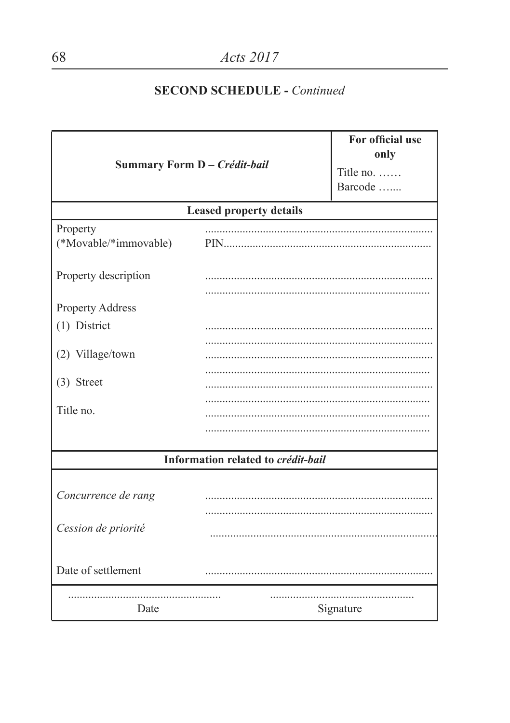| Summary Form D - Crédit-bail      |                                    | For official use<br>only<br>Title no.<br>Barcode |
|-----------------------------------|------------------------------------|--------------------------------------------------|
|                                   | <b>Leased property details</b>     |                                                  |
| Property<br>(*Movable/*immovable) | PIN                                |                                                  |
| Property description              |                                    |                                                  |
| Property Address                  |                                    |                                                  |
| (1) District                      |                                    |                                                  |
| (2) Village/town                  |                                    |                                                  |
| $(3)$ Street                      |                                    |                                                  |
| Title no.                         |                                    |                                                  |
|                                   |                                    |                                                  |
|                                   | Information related to crédit-bail |                                                  |
| Concurrence de rang               |                                    |                                                  |
| Cession de priorité               |                                    |                                                  |
| Date of settlement                |                                    |                                                  |
| Date                              |                                    | Signature                                        |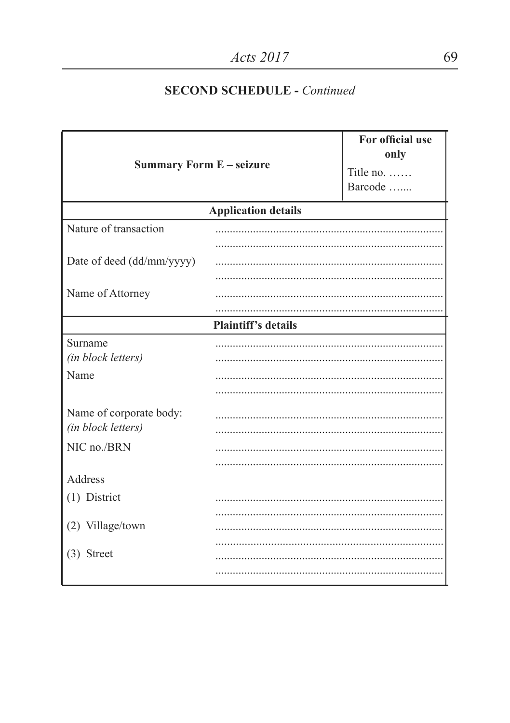| <b>Summary Form E - seizure</b>               |                            | For official use<br>only<br>Title no.<br>Barcode |
|-----------------------------------------------|----------------------------|--------------------------------------------------|
|                                               | <b>Application details</b> |                                                  |
| Nature of transaction                         |                            |                                                  |
| Date of deed (dd/mm/yyyy)                     |                            |                                                  |
| Name of Attorney                              |                            |                                                  |
|                                               | <b>Plaintiff's details</b> |                                                  |
| Surname<br>(in block letters)<br>Name         |                            |                                                  |
|                                               |                            |                                                  |
| Name of corporate body:<br>(in block letters) |                            |                                                  |
| NIC no./BRN                                   |                            |                                                  |
| Address                                       |                            |                                                  |
| (1) District                                  |                            |                                                  |
| (2) Village/town                              |                            |                                                  |
| $(3)$ Street                                  |                            |                                                  |
|                                               |                            |                                                  |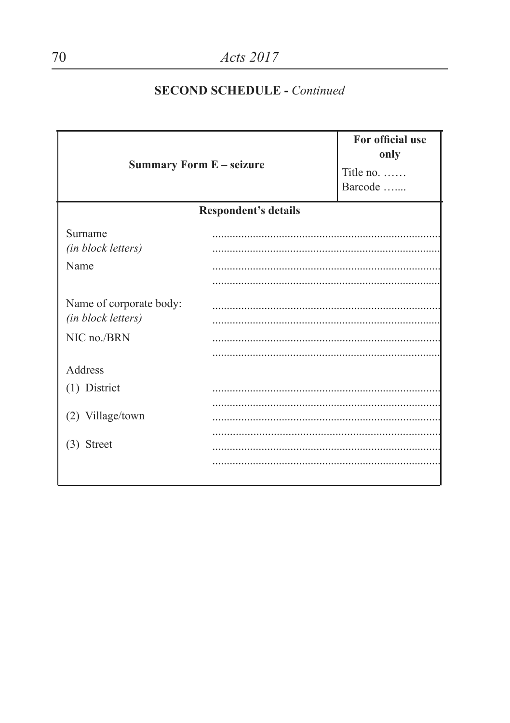| <b>Summary Form E - seizure</b>               |                             | For official use<br>only<br>Title no.<br>Barcode |
|-----------------------------------------------|-----------------------------|--------------------------------------------------|
|                                               | <b>Respondent's details</b> |                                                  |
| Surname<br>(in block letters)<br>Name         |                             |                                                  |
| Name of corporate body:<br>(in block letters) |                             |                                                  |
| NIC no./BRN                                   |                             |                                                  |
| Address                                       |                             |                                                  |
| (1) District                                  |                             |                                                  |
| (2) Village/town                              |                             |                                                  |
| (3) Street                                    |                             |                                                  |
|                                               |                             |                                                  |